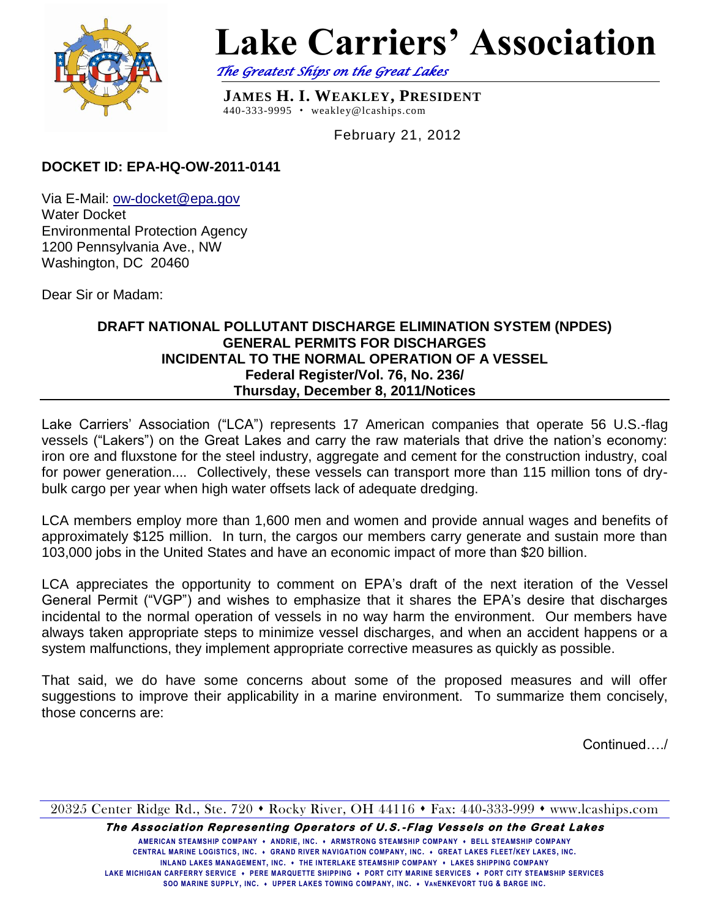

# **Lake Carriers' Association**

*The Greatest Ships on the Great Lakes* 

**JAMES H. I. WEAKLEY, PRESIDENT** 440-333-9995 weakley@lcaships.com

February 21, 2012

# **DOCKET ID: EPA-HQ-OW-2011-0141**

Via E-Mail: [ow-docket@epa.gov](mailto:ow-docket@epa.gov) Water Docket Environmental Protection Agency 1200 Pennsylvania Ave., NW Washington, DC 20460

Dear Sir or Madam:

### **DRAFT NATIONAL POLLUTANT DISCHARGE ELIMINATION SYSTEM (NPDES) GENERAL PERMITS FOR DISCHARGES INCIDENTAL TO THE NORMAL OPERATION OF A VESSEL Federal Register/Vol. 76, No. 236/ Thursday, December 8, 2011/Notices**

Lake Carriers' Association ("LCA") represents 17 American companies that operate 56 U.S.-flag vessels ("Lakers") on the Great Lakes and carry the raw materials that drive the nation's economy: iron ore and fluxstone for the steel industry, aggregate and cement for the construction industry, coal for power generation.... Collectively, these vessels can transport more than 115 million tons of drybulk cargo per year when high water offsets lack of adequate dredging.

LCA members employ more than 1,600 men and women and provide annual wages and benefits of approximately \$125 million. In turn, the cargos our members carry generate and sustain more than 103,000 jobs in the United States and have an economic impact of more than \$20 billion.

LCA appreciates the opportunity to comment on EPA's draft of the next iteration of the Vessel General Permit ("VGP") and wishes to emphasize that it shares the EPA's desire that discharges incidental to the normal operation of vessels in no way harm the environment. Our members have always taken appropriate steps to minimize vessel discharges, and when an accident happens or a system malfunctions, they implement appropriate corrective measures as quickly as possible.

That said, we do have some concerns about some of the proposed measures and will offer suggestions to improve their applicability in a marine environment. To summarize them concisely, those concerns are:

Continued…./

20325 Center Ridge Rd., Ste. 720 • Rocky River, OH 44116 • Fax: 440-333-999 • www.lcaships.com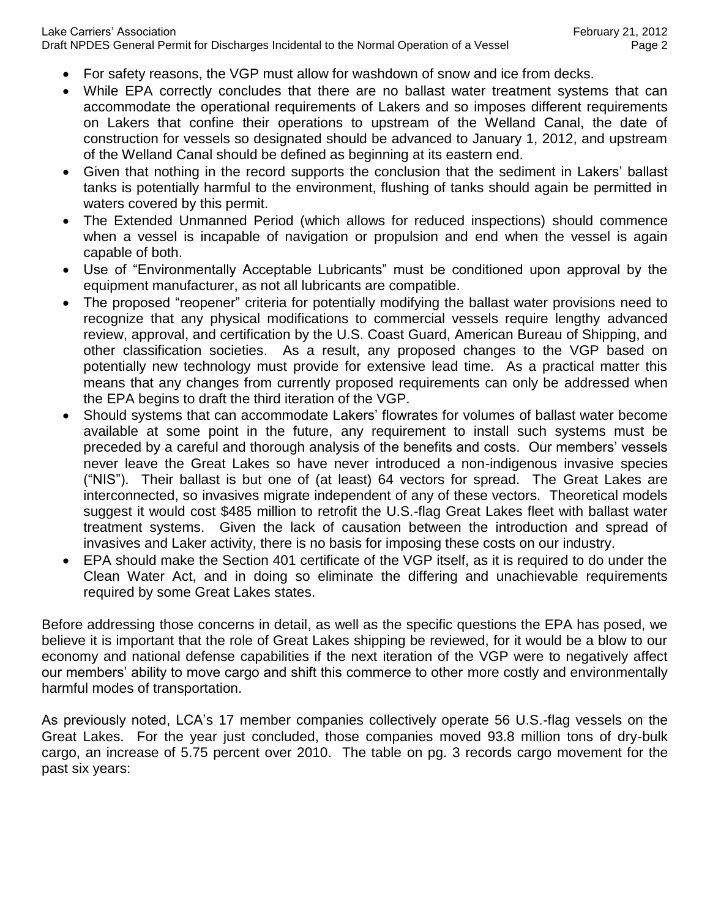- For safety reasons, the VGP must allow for washdown of snow and ice from decks.
- While EPA correctly concludes that there are no ballast water treatment systems that can accommodate the operational requirements of Lakers and so imposes different requirements on Lakers that confine their operations to upstream of the Welland Canal, the date of construction for vessels so designated should be advanced to January 1, 2012, and upstream of the Welland Canal should be defined as beginning at its eastern end.
- Given that nothing in the record supports the conclusion that the sediment in Lakers' ballast tanks is potentially harmful to the environment, flushing of tanks should again be permitted in waters covered by this permit.
- The Extended Unmanned Period (which allows for reduced inspections) should commence when a vessel is incapable of navigation or propulsion and end when the vessel is again capable of both.
- Use of "Environmentally Acceptable Lubricants" must be conditioned upon approval by the equipment manufacturer, as not all lubricants are compatible.
- The proposed "reopener" criteria for potentially modifying the ballast water provisions need to recognize that any physical modifications to commercial vessels require lengthy advanced review, approval, and certification by the U.S. Coast Guard, American Bureau of Shipping, and other classification societies. As a result, any proposed changes to the VGP based on potentially new technology must provide for extensive lead time. As a practical matter this means that any changes from currently proposed requirements can only be addressed when the EPA begins to draft the third iteration of the VGP.
- Should systems that can accommodate Lakers' flowrates for volumes of ballast water become available at some point in the future, any requirement to install such systems must be preceded by a careful and thorough analysis of the benefits and costs. Our members' vessels never leave the Great Lakes so have never introduced a non-indigenous invasive species ("NIS"). Their ballast is but one of (at least) 64 vectors for spread. The Great Lakes are interconnected, so invasives migrate independent of any of these vectors. Theoretical models suggest it would cost \$485 million to retrofit the U.S.-flag Great Lakes fleet with ballast water treatment systems. Given the lack of causation between the introduction and spread of invasives and Laker activity, there is no basis for imposing these costs on our industry.
- EPA should make the Section 401 certificate of the VGP itself, as it is required to do under the Clean Water Act, and in doing so eliminate the differing and unachievable requirements required by some Great Lakes states.

Before addressing those concerns in detail, as well as the specific questions the EPA has posed, we believe it is important that the role of Great Lakes shipping be reviewed, for it would be a blow to our economy and national defense capabilities if the next iteration of the VGP were to negatively affect our members' ability to move cargo and shift this commerce to other more costly and environmentally harmful modes of transportation.

As previously noted, LCA's 17 member companies collectively operate 56 U.S.-flag vessels on the Great Lakes. For the year just concluded, those companies moved 93.8 million tons of dry-bulk cargo, an increase of 5.75 percent over 2010. The table on pg. 3 records cargo movement for the past six years: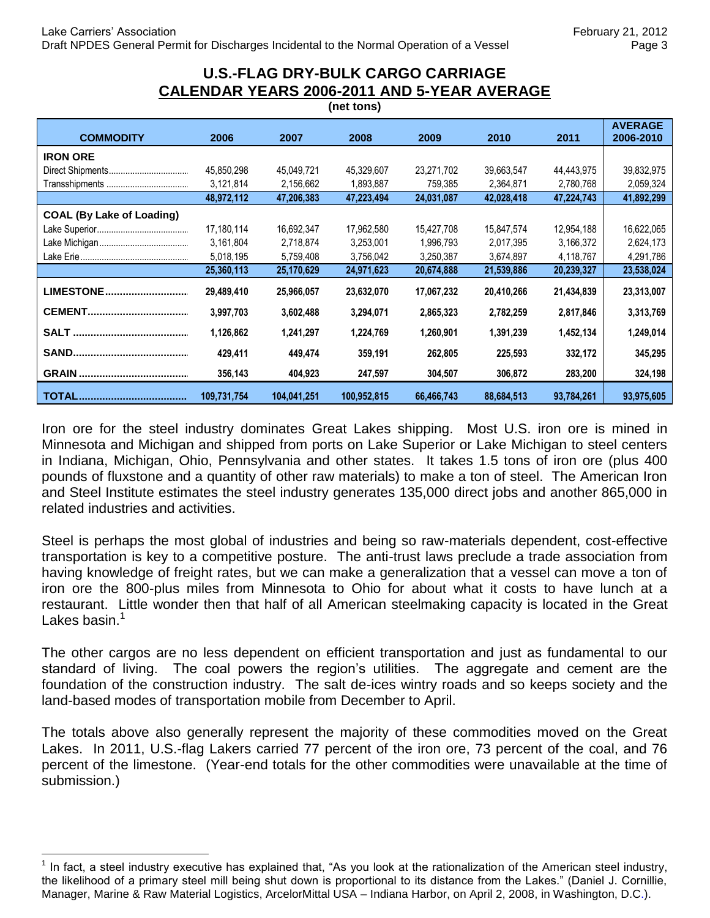#### **U.S.-FLAG DRY-BULK CARGO CARRIAGE CALENDAR YEARS 2006-2011 AND 5-YEAR AVERAGE (net tons)**

|                                  |             |             | $\cdots$    |            |            |            |                             |
|----------------------------------|-------------|-------------|-------------|------------|------------|------------|-----------------------------|
| <b>COMMODITY</b>                 | 2006        | 2007        | 2008        | 2009       | 2010       | 2011       | <b>AVERAGE</b><br>2006-2010 |
| <b>IRON ORE</b>                  |             |             |             |            |            |            |                             |
|                                  | 45,850,298  | 45,049,721  | 45,329,607  | 23,271,702 | 39,663,547 | 44,443,975 | 39,832,975                  |
|                                  | 3,121,814   | 2,156,662   | 1,893,887   | 759,385    | 2,364,871  | 2,780,768  | 2,059,324                   |
|                                  | 48,972,112  | 47,206,383  | 47,223,494  | 24,031,087 | 42,028,418 | 47,224,743 | 41,892,299                  |
| <b>COAL (By Lake of Loading)</b> |             |             |             |            |            |            |                             |
|                                  | 17,180,114  | 16,692,347  | 17.962.580  | 15,427,708 | 15,847,574 | 12,954,188 | 16,622,065                  |
|                                  | 3,161,804   | 2,718,874   | 3,253,001   | 1,996,793  | 2,017,395  | 3,166,372  | 2,624,173                   |
|                                  | 5,018,195   | 5,759,408   | 3,756,042   | 3,250,387  | 3,674,897  | 4,118,767  | 4,291,786                   |
|                                  | 25,360,113  | 25,170,629  | 24,971,623  | 20,674,888 | 21,539,886 | 20,239,327 | 23,538,024                  |
| LIMESTONE                        | 29,489,410  | 25,966,057  | 23,632,070  | 17,067,232 | 20,410,266 | 21,434,839 | 23,313,007                  |
|                                  | 3,997,703   | 3,602,488   | 3,294,071   | 2,865,323  | 2,782,259  | 2,817,846  | 3,313,769                   |
|                                  | 1,126,862   | 1,241,297   | 1,224,769   | 1,260,901  | 1,391,239  | 1,452,134  | 1,249,014                   |
|                                  | 429,411     | 449,474     | 359,191     | 262,805    | 225,593    | 332,172    | 345,295                     |
|                                  | 356,143     | 404,923     | 247,597     | 304,507    | 306,872    | 283,200    | 324,198                     |
|                                  | 109,731,754 | 104,041,251 | 100,952,815 | 66,466,743 | 88,684,513 | 93,784,261 | 93,975,605                  |

Iron ore for the steel industry dominates Great Lakes shipping. Most U.S. iron ore is mined in Minnesota and Michigan and shipped from ports on Lake Superior or Lake Michigan to steel centers in Indiana, Michigan, Ohio, Pennsylvania and other states. It takes 1.5 tons of iron ore (plus 400 pounds of fluxstone and a quantity of other raw materials) to make a ton of steel. The American Iron and Steel Institute estimates the steel industry generates 135,000 direct jobs and another 865,000 in related industries and activities.

Steel is perhaps the most global of industries and being so raw-materials dependent, cost-effective transportation is key to a competitive posture. The anti-trust laws preclude a trade association from having knowledge of freight rates, but we can make a generalization that a vessel can move a ton of iron ore the 800-plus miles from Minnesota to Ohio for about what it costs to have lunch at a restaurant. Little wonder then that half of all American steelmaking capacity is located in the Great Lakes basin.<sup>1</sup>

The other cargos are no less dependent on efficient transportation and just as fundamental to our standard of living. The coal powers the region's utilities. The aggregate and cement are the foundation of the construction industry. The salt de-ices wintry roads and so keeps society and the land-based modes of transportation mobile from December to April.

The totals above also generally represent the majority of these commodities moved on the Great Lakes. In 2011, U.S.-flag Lakers carried 77 percent of the iron ore, 73 percent of the coal, and 76 percent of the limestone. (Year-end totals for the other commodities were unavailable at the time of submission.)

 $\overline{a}$ 

 $1$  In fact, a steel industry executive has explained that, "As you look at the rationalization of the American steel industry, the likelihood of a primary steel mill being shut down is proportional to its distance from the Lakes." (Daniel J. Cornillie, Manager, Marine & Raw Material Logistics, ArcelorMittal USA – Indiana Harbor, on April 2, 2008, in Washington, D.C.).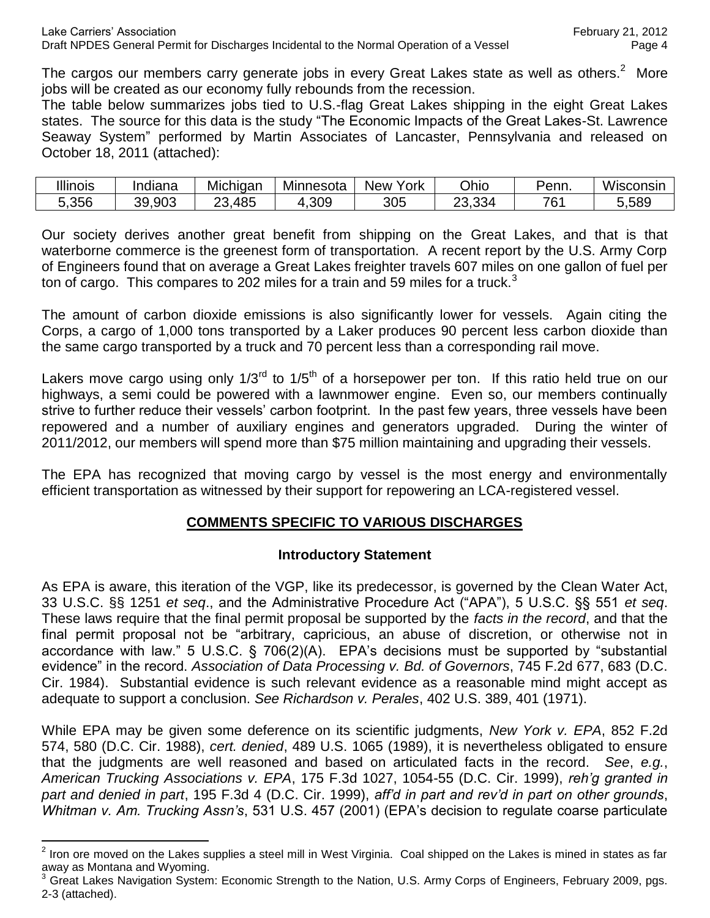The cargos our members carry generate jobs in every Great Lakes state as well as others.<sup>2</sup> More jobs will be created as our economy fully rebounds from the recession.

The table below summarizes jobs tied to U.S.-flag Great Lakes shipping in the eight Great Lakes states. The source for this data is the study "The Economic Impacts of the Great Lakes-St. Lawrence Seaway System" performed by Martin Associates of Lancaster, Pennsylvania and released on October 18, 2011 (attached):

| <b>Illinois</b> | <br>Indiana | Michigan  | Minnesota | $\cdot$<br>York<br>New | Ohio                   | Penn.    | Wisconsin |
|-----------------|-------------|-----------|-----------|------------------------|------------------------|----------|-----------|
| 5,356           | 39,903      | ,485<br>ົ | .309      | 305                    | $\sim$<br>ററ<br>–3،334 | 761<br>v | 5,589     |

Our society derives another great benefit from shipping on the Great Lakes, and that is that waterborne commerce is the greenest form of transportation. A recent report by the U.S. Army Corp of Engineers found that on average a Great Lakes freighter travels 607 miles on one gallon of fuel per ton of cargo. This compares to 202 miles for a train and 59 miles for a truck.<sup>3</sup>

The amount of carbon dioxide emissions is also significantly lower for vessels. Again citing the Corps, a cargo of 1,000 tons transported by a Laker produces 90 percent less carbon dioxide than the same cargo transported by a truck and 70 percent less than a corresponding rail move.

Lakers move cargo using only  $1/3^{rd}$  to  $1/5^{th}$  of a horsepower per ton. If this ratio held true on our highways, a semi could be powered with a lawnmower engine. Even so, our members continually strive to further reduce their vessels' carbon footprint. In the past few years, three vessels have been repowered and a number of auxiliary engines and generators upgraded. During the winter of 2011/2012, our members will spend more than \$75 million maintaining and upgrading their vessels.

The EPA has recognized that moving cargo by vessel is the most energy and environmentally efficient transportation as witnessed by their support for repowering an LCA-registered vessel.

## **COMMENTS SPECIFIC TO VARIOUS DISCHARGES**

### **Introductory Statement**

As EPA is aware, this iteration of the VGP, like its predecessor, is governed by the Clean Water Act, 33 U.S.C. §§ 1251 *et seq*., and the Administrative Procedure Act ("APA"), 5 U.S.C. §§ 551 *et seq*. These laws require that the final permit proposal be supported by the *facts in the record*, and that the final permit proposal not be "arbitrary, capricious, an abuse of discretion, or otherwise not in accordance with law." 5 U.S.C. § 706(2)(A). EPA's decisions must be supported by "substantial evidence" in the record. *Association of Data Processing v. Bd. of Governors*, 745 F.2d 677, 683 (D.C. Cir. 1984). Substantial evidence is such relevant evidence as a reasonable mind might accept as adequate to support a conclusion. *See Richardson v. Perales*, 402 U.S. 389, 401 (1971).

While EPA may be given some deference on its scientific judgments, *New York v. EPA*, 852 F.2d 574, 580 (D.C. Cir. 1988), *cert. denied*, 489 U.S. 1065 (1989), it is nevertheless obligated to ensure that the judgments are well reasoned and based on articulated facts in the record. *See*, *e.g.*, *American Trucking Associations v. EPA*, 175 F.3d 1027, 1054-55 (D.C. Cir. 1999), *reh'g granted in part and denied in part*, 195 F.3d 4 (D.C. Cir. 1999), *aff'd in part and rev'd in part on other grounds*, *Whitman v. Am. Trucking Assn's*, 531 U.S. 457 (2001) (EPA's decision to regulate coarse particulate

 $\overline{a}$  $2$  Iron ore moved on the Lakes supplies a steel mill in West Virginia. Coal shipped on the Lakes is mined in states as far away as Montana and Wyoming.

<sup>3</sup> Great Lakes Navigation System: Economic Strength to the Nation, U.S. Army Corps of Engineers, February 2009, pgs. 2-3 (attached).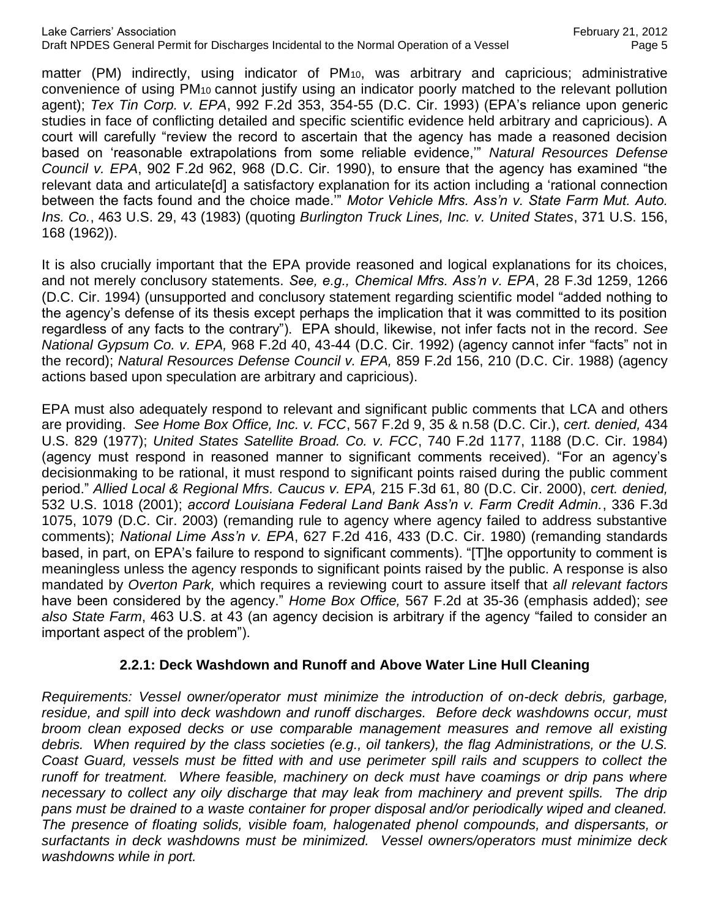matter (PM) indirectly, using indicator of PM10, was arbitrary and capricious; administrative convenience of using PM10 cannot justify using an indicator poorly matched to the relevant pollution agent); *Tex Tin Corp. v. EPA*, 992 F.2d 353, 354-55 (D.C. Cir. 1993) (EPA's reliance upon generic studies in face of conflicting detailed and specific scientific evidence held arbitrary and capricious). A court will carefully "review the record to ascertain that the agency has made a reasoned decision based on 'reasonable extrapolations from some reliable evidence,'" *Natural Resources Defense Council v. EPA*, 902 F.2d 962, 968 (D.C. Cir. 1990), to ensure that the agency has examined "the relevant data and articulate[d] a satisfactory explanation for its action including a 'rational connection between the facts found and the choice made.'" *Motor Vehicle Mfrs. Ass'n v. State Farm Mut. Auto. Ins. Co.*, 463 U.S. 29, 43 (1983) (quoting *Burlington Truck Lines, Inc. v. United States*, 371 U.S. 156, 168 (1962)).

It is also crucially important that the EPA provide reasoned and logical explanations for its choices, and not merely conclusory statements. *See, e.g., Chemical Mfrs. Ass'n v. EPA*, 28 F.3d 1259, 1266 (D.C. Cir. 1994) (unsupported and conclusory statement regarding scientific model "added nothing to the agency's defense of its thesis except perhaps the implication that it was committed to its position regardless of any facts to the contrary"). EPA should, likewise, not infer facts not in the record. *See National Gypsum Co. v. EPA,* 968 F.2d 40, 43-44 (D.C. Cir. 1992) (agency cannot infer "facts" not in the record); *Natural Resources Defense Council v. EPA,* 859 F.2d 156, 210 (D.C. Cir. 1988) (agency actions based upon speculation are arbitrary and capricious).

EPA must also adequately respond to relevant and significant public comments that LCA and others are providing. *See Home Box Office, Inc. v. FCC*, 567 F.2d 9, 35 & n.58 (D.C. Cir.), *cert. denied,* 434 U.S. 829 (1977); *United States Satellite Broad. Co. v. FCC*, 740 F.2d 1177, 1188 (D.C. Cir. 1984) (agency must respond in reasoned manner to significant comments received). "For an agency's decisionmaking to be rational, it must respond to significant points raised during the public comment period." *Allied Local & Regional Mfrs. Caucus v. EPA,* 215 F.3d 61, 80 (D.C. Cir. 2000), *cert. denied,*  532 U.S. 1018 (2001); *accord Louisiana Federal Land Bank Ass'n v. Farm Credit Admin.*, 336 F.3d 1075, 1079 (D.C. Cir. 2003) (remanding rule to agency where agency failed to address substantive comments); *National Lime Ass'n v. EPA*, 627 F.2d 416, 433 (D.C. Cir. 1980) (remanding standards based, in part, on EPA's failure to respond to significant comments). "[T]he opportunity to comment is meaningless unless the agency responds to significant points raised by the public. A response is also mandated by *Overton Park,* which requires a reviewing court to assure itself that *all relevant factors*  have been considered by the agency." *Home Box Office,* 567 F.2d at 35-36 (emphasis added); *see also State Farm*, 463 U.S. at 43 (an agency decision is arbitrary if the agency "failed to consider an important aspect of the problem").

### **2.2.1: Deck Washdown and Runoff and Above Water Line Hull Cleaning**

*Requirements: Vessel owner/operator must minimize the introduction of on-deck debris, garbage, residue, and spill into deck washdown and runoff discharges. Before deck washdowns occur, must broom clean exposed decks or use comparable management measures and remove all existing debris. When required by the class societies (e.g., oil tankers), the flag Administrations, or the U.S. Coast Guard, vessels must be fitted with and use perimeter spill rails and scuppers to collect the runoff for treatment. Where feasible, machinery on deck must have coamings or drip pans where* necessary to collect any oily discharge that may leak from machinery and prevent spills. The drip *pans must be drained to a waste container for proper disposal and/or periodically wiped and cleaned. The presence of floating solids, visible foam, halogenated phenol compounds, and dispersants, or surfactants in deck washdowns must be minimized. Vessel owners/operators must minimize deck washdowns while in port.*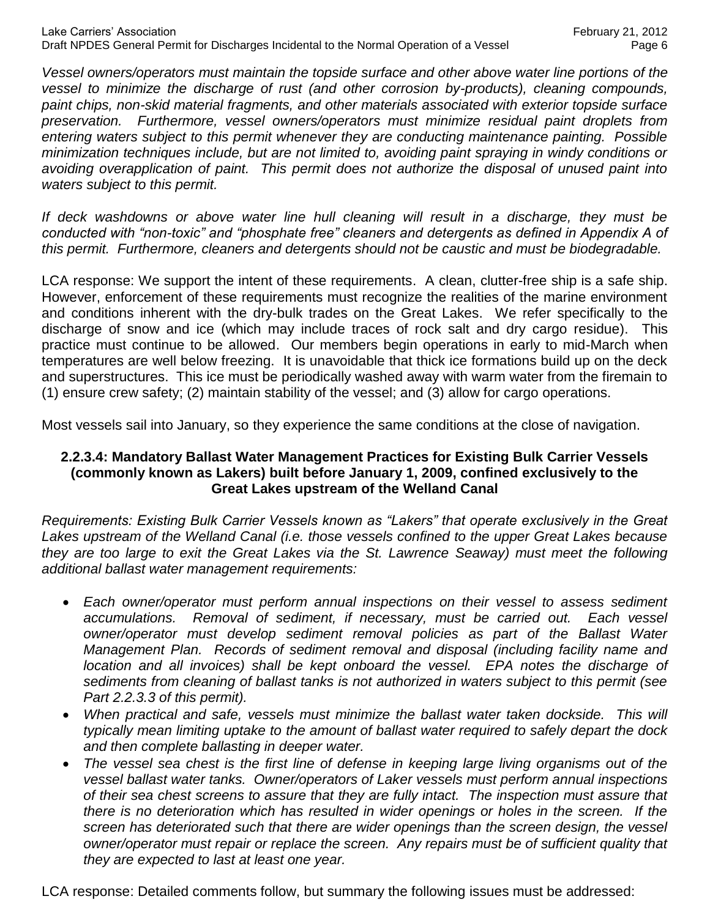*Vessel owners/operators must maintain the topside surface and other above water line portions of the vessel to minimize the discharge of rust (and other corrosion by-products), cleaning compounds, paint chips, non-skid material fragments, and other materials associated with exterior topside surface preservation. Furthermore, vessel owners/operators must minimize residual paint droplets from entering waters subject to this permit whenever they are conducting maintenance painting. Possible minimization techniques include, but are not limited to, avoiding paint spraying in windy conditions or avoiding overapplication of paint. This permit does not authorize the disposal of unused paint into waters subject to this permit.*

*If deck washdowns or above water line hull cleaning will result in a discharge, they must be conducted with "non-toxic" and "phosphate free" cleaners and detergents as defined in Appendix A of this permit. Furthermore, cleaners and detergents should not be caustic and must be biodegradable.*

LCA response: We support the intent of these requirements. A clean, clutter-free ship is a safe ship. However, enforcement of these requirements must recognize the realities of the marine environment and conditions inherent with the dry-bulk trades on the Great Lakes. We refer specifically to the discharge of snow and ice (which may include traces of rock salt and dry cargo residue). This practice must continue to be allowed. Our members begin operations in early to mid-March when temperatures are well below freezing. It is unavoidable that thick ice formations build up on the deck and superstructures. This ice must be periodically washed away with warm water from the firemain to (1) ensure crew safety; (2) maintain stability of the vessel; and (3) allow for cargo operations.

Most vessels sail into January, so they experience the same conditions at the close of navigation.

### **2.2.3.4: Mandatory Ballast Water Management Practices for Existing Bulk Carrier Vessels (commonly known as Lakers) built before January 1, 2009, confined exclusively to the Great Lakes upstream of the Welland Canal**

*Requirements: Existing Bulk Carrier Vessels known as "Lakers" that operate exclusively in the Great Lakes upstream of the Welland Canal (i.e. those vessels confined to the upper Great Lakes because they are too large to exit the Great Lakes via the St. Lawrence Seaway) must meet the following additional ballast water management requirements:*

- *Each owner/operator must perform annual inspections on their vessel to assess sediment accumulations. Removal of sediment, if necessary, must be carried out. Each vessel owner/operator must develop sediment removal policies as part of the Ballast Water Management Plan. Records of sediment removal and disposal (including facility name and location and all invoices) shall be kept onboard the vessel. EPA notes the discharge of sediments from cleaning of ballast tanks is not authorized in waters subject to this permit (see Part 2.2.3.3 of this permit).*
- When practical and safe, vessels must minimize the ballast water taken dockside. This will *typically mean limiting uptake to the amount of ballast water required to safely depart the dock and then complete ballasting in deeper water.*
- *The vessel sea chest is the first line of defense in keeping large living organisms out of the vessel ballast water tanks. Owner/operators of Laker vessels must perform annual inspections of their sea chest screens to assure that they are fully intact. The inspection must assure that there is no deterioration which has resulted in wider openings or holes in the screen. If the screen has deteriorated such that there are wider openings than the screen design, the vessel owner/operator must repair or replace the screen. Any repairs must be of sufficient quality that they are expected to last at least one year.*

LCA response: Detailed comments follow, but summary the following issues must be addressed: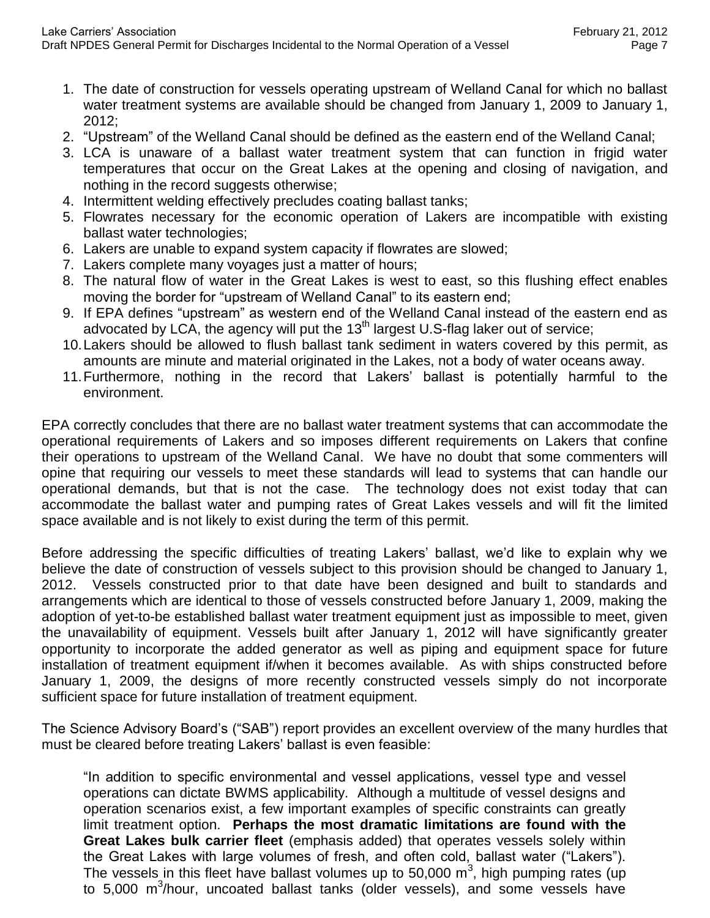- 1. The date of construction for vessels operating upstream of Welland Canal for which no ballast water treatment systems are available should be changed from January 1, 2009 to January 1, 2012;
- 2. "Upstream" of the Welland Canal should be defined as the eastern end of the Welland Canal;
- 3. LCA is unaware of a ballast water treatment system that can function in frigid water temperatures that occur on the Great Lakes at the opening and closing of navigation, and nothing in the record suggests otherwise;
- 4. Intermittent welding effectively precludes coating ballast tanks;
- 5. Flowrates necessary for the economic operation of Lakers are incompatible with existing ballast water technologies;
- 6. Lakers are unable to expand system capacity if flowrates are slowed;
- 7. Lakers complete many voyages just a matter of hours;
- 8. The natural flow of water in the Great Lakes is west to east, so this flushing effect enables moving the border for "upstream of Welland Canal" to its eastern end;
- 9. If EPA defines "upstream" as western end of the Welland Canal instead of the eastern end as advocated by LCA, the agency will put the 13<sup>th</sup> largest U.S-flag laker out of service;
- 10.Lakers should be allowed to flush ballast tank sediment in waters covered by this permit, as amounts are minute and material originated in the Lakes, not a body of water oceans away.
- 11.Furthermore, nothing in the record that Lakers' ballast is potentially harmful to the environment.

EPA correctly concludes that there are no ballast water treatment systems that can accommodate the operational requirements of Lakers and so imposes different requirements on Lakers that confine their operations to upstream of the Welland Canal. We have no doubt that some commenters will opine that requiring our vessels to meet these standards will lead to systems that can handle our operational demands, but that is not the case. The technology does not exist today that can accommodate the ballast water and pumping rates of Great Lakes vessels and will fit the limited space available and is not likely to exist during the term of this permit.

Before addressing the specific difficulties of treating Lakers' ballast, we'd like to explain why we believe the date of construction of vessels subject to this provision should be changed to January 1, 2012. Vessels constructed prior to that date have been designed and built to standards and arrangements which are identical to those of vessels constructed before January 1, 2009, making the adoption of yet-to-be established ballast water treatment equipment just as impossible to meet, given the unavailability of equipment. Vessels built after January 1, 2012 will have significantly greater opportunity to incorporate the added generator as well as piping and equipment space for future installation of treatment equipment if/when it becomes available. As with ships constructed before January 1, 2009, the designs of more recently constructed vessels simply do not incorporate sufficient space for future installation of treatment equipment.

The Science Advisory Board's ("SAB") report provides an excellent overview of the many hurdles that must be cleared before treating Lakers' ballast is even feasible:

"In addition to specific environmental and vessel applications, vessel type and vessel operations can dictate BWMS applicability. Although a multitude of vessel designs and operation scenarios exist, a few important examples of specific constraints can greatly limit treatment option. **Perhaps the most dramatic limitations are found with the Great Lakes bulk carrier fleet** (emphasis added) that operates vessels solely within the Great Lakes with large volumes of fresh, and often cold, ballast water ("Lakers"). The vessels in this fleet have ballast volumes up to 50,000  $\text{m}^3$ , high pumping rates (up to 5,000 m<sup>3</sup>/hour, uncoated ballast tanks (older vessels), and some vessels have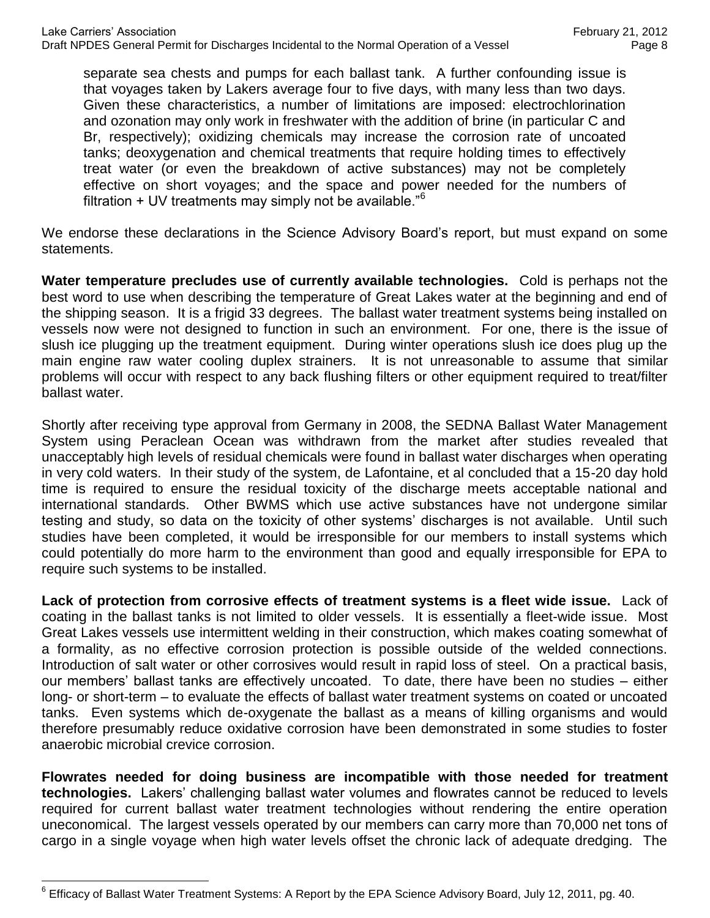separate sea chests and pumps for each ballast tank. A further confounding issue is that voyages taken by Lakers average four to five days, with many less than two days. Given these characteristics, a number of limitations are imposed: electrochlorination and ozonation may only work in freshwater with the addition of brine (in particular C and Br, respectively); oxidizing chemicals may increase the corrosion rate of uncoated tanks; deoxygenation and chemical treatments that require holding times to effectively treat water (or even the breakdown of active substances) may not be completely effective on short voyages; and the space and power needed for the numbers of filtration  $+$  UV treatments may simply not be available.<sup>"6</sup>

We endorse these declarations in the Science Advisory Board's report, but must expand on some statements.

**Water temperature precludes use of currently available technologies.** Cold is perhaps not the best word to use when describing the temperature of Great Lakes water at the beginning and end of the shipping season. It is a frigid 33 degrees. The ballast water treatment systems being installed on vessels now were not designed to function in such an environment. For one, there is the issue of slush ice plugging up the treatment equipment. During winter operations slush ice does plug up the main engine raw water cooling duplex strainers. It is not unreasonable to assume that similar problems will occur with respect to any back flushing filters or other equipment required to treat/filter ballast water.

Shortly after receiving type approval from Germany in 2008, the SEDNA Ballast Water Management System using Peraclean Ocean was withdrawn from the market after studies revealed that unacceptably high levels of residual chemicals were found in ballast water discharges when operating in very cold waters. In their study of the system, de Lafontaine, et al concluded that a 15-20 day hold time is required to ensure the residual toxicity of the discharge meets acceptable national and international standards. Other BWMS which use active substances have not undergone similar testing and study, so data on the toxicity of other systems' discharges is not available. Until such studies have been completed, it would be irresponsible for our members to install systems which could potentially do more harm to the environment than good and equally irresponsible for EPA to require such systems to be installed.

**Lack of protection from corrosive effects of treatment systems is a fleet wide issue.** Lack of coating in the ballast tanks is not limited to older vessels. It is essentially a fleet-wide issue. Most Great Lakes vessels use intermittent welding in their construction, which makes coating somewhat of a formality, as no effective corrosion protection is possible outside of the welded connections. Introduction of salt water or other corrosives would result in rapid loss of steel. On a practical basis, our members' ballast tanks are effectively uncoated. To date, there have been no studies – either long- or short-term – to evaluate the effects of ballast water treatment systems on coated or uncoated tanks. Even systems which de-oxygenate the ballast as a means of killing organisms and would therefore presumably reduce oxidative corrosion have been demonstrated in some studies to foster anaerobic microbial crevice corrosion.

**Flowrates needed for doing business are incompatible with those needed for treatment technologies.** Lakers' challenging ballast water volumes and flowrates cannot be reduced to levels required for current ballast water treatment technologies without rendering the entire operation uneconomical. The largest vessels operated by our members can carry more than 70,000 net tons of cargo in a single voyage when high water levels offset the chronic lack of adequate dredging. The

 $\overline{a}$  $^6$  Efficacy of Ballast Water Treatment Systems: A Report by the EPA Science Advisory Board, July 12, 2011, pg. 40.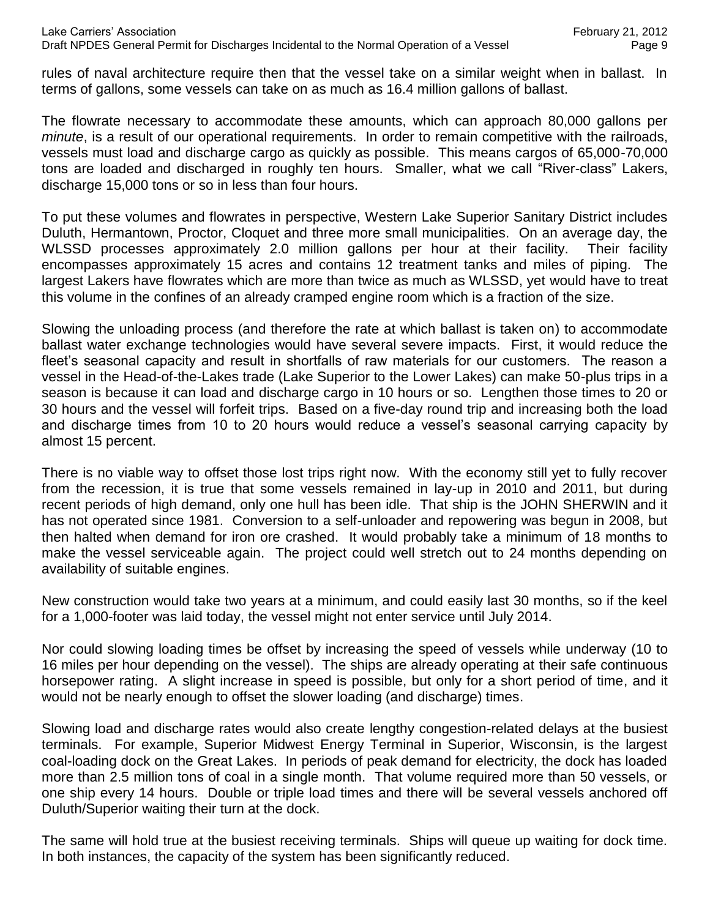rules of naval architecture require then that the vessel take on a similar weight when in ballast. In terms of gallons, some vessels can take on as much as 16.4 million gallons of ballast.

The flowrate necessary to accommodate these amounts, which can approach 80,000 gallons per *minute*, is a result of our operational requirements. In order to remain competitive with the railroads, vessels must load and discharge cargo as quickly as possible. This means cargos of 65,000-70,000 tons are loaded and discharged in roughly ten hours. Smaller, what we call "River-class" Lakers, discharge 15,000 tons or so in less than four hours.

To put these volumes and flowrates in perspective, Western Lake Superior Sanitary District includes Duluth, Hermantown, Proctor, Cloquet and three more small municipalities. On an average day, the WLSSD processes approximately 2.0 million gallons per hour at their facility. Their facility encompasses approximately 15 acres and contains 12 treatment tanks and miles of piping. The largest Lakers have flowrates which are more than twice as much as WLSSD, yet would have to treat this volume in the confines of an already cramped engine room which is a fraction of the size.

Slowing the unloading process (and therefore the rate at which ballast is taken on) to accommodate ballast water exchange technologies would have several severe impacts. First, it would reduce the fleet's seasonal capacity and result in shortfalls of raw materials for our customers. The reason a vessel in the Head-of-the-Lakes trade (Lake Superior to the Lower Lakes) can make 50-plus trips in a season is because it can load and discharge cargo in 10 hours or so. Lengthen those times to 20 or 30 hours and the vessel will forfeit trips. Based on a five-day round trip and increasing both the load and discharge times from 10 to 20 hours would reduce a vessel's seasonal carrying capacity by almost 15 percent.

There is no viable way to offset those lost trips right now. With the economy still yet to fully recover from the recession, it is true that some vessels remained in lay-up in 2010 and 2011, but during recent periods of high demand, only one hull has been idle. That ship is the JOHN SHERWIN and it has not operated since 1981. Conversion to a self-unloader and repowering was begun in 2008, but then halted when demand for iron ore crashed. It would probably take a minimum of 18 months to make the vessel serviceable again. The project could well stretch out to 24 months depending on availability of suitable engines.

New construction would take two years at a minimum, and could easily last 30 months, so if the keel for a 1,000-footer was laid today, the vessel might not enter service until July 2014.

Nor could slowing loading times be offset by increasing the speed of vessels while underway (10 to 16 miles per hour depending on the vessel). The ships are already operating at their safe continuous horsepower rating. A slight increase in speed is possible, but only for a short period of time, and it would not be nearly enough to offset the slower loading (and discharge) times.

Slowing load and discharge rates would also create lengthy congestion-related delays at the busiest terminals. For example, Superior Midwest Energy Terminal in Superior, Wisconsin, is the largest coal-loading dock on the Great Lakes. In periods of peak demand for electricity, the dock has loaded more than 2.5 million tons of coal in a single month. That volume required more than 50 vessels, or one ship every 14 hours. Double or triple load times and there will be several vessels anchored off Duluth/Superior waiting their turn at the dock.

The same will hold true at the busiest receiving terminals. Ships will queue up waiting for dock time. In both instances, the capacity of the system has been significantly reduced.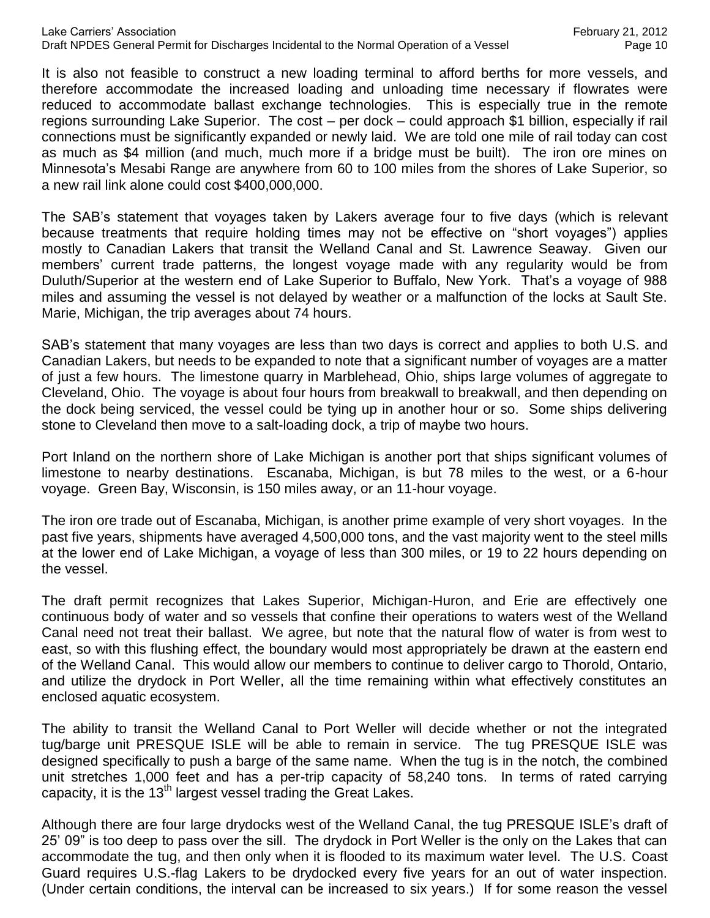It is also not feasible to construct a new loading terminal to afford berths for more vessels, and therefore accommodate the increased loading and unloading time necessary if flowrates were reduced to accommodate ballast exchange technologies. This is especially true in the remote regions surrounding Lake Superior. The cost – per dock – could approach \$1 billion, especially if rail connections must be significantly expanded or newly laid. We are told one mile of rail today can cost as much as \$4 million (and much, much more if a bridge must be built). The iron ore mines on Minnesota's Mesabi Range are anywhere from 60 to 100 miles from the shores of Lake Superior, so a new rail link alone could cost \$400,000,000.

The SAB's statement that voyages taken by Lakers average four to five days (which is relevant because treatments that require holding times may not be effective on "short voyages") applies mostly to Canadian Lakers that transit the Welland Canal and St. Lawrence Seaway. Given our members' current trade patterns, the longest voyage made with any regularity would be from Duluth/Superior at the western end of Lake Superior to Buffalo, New York. That's a voyage of 988 miles and assuming the vessel is not delayed by weather or a malfunction of the locks at Sault Ste. Marie, Michigan, the trip averages about 74 hours.

SAB's statement that many voyages are less than two days is correct and applies to both U.S. and Canadian Lakers, but needs to be expanded to note that a significant number of voyages are a matter of just a few hours. The limestone quarry in Marblehead, Ohio, ships large volumes of aggregate to Cleveland, Ohio. The voyage is about four hours from breakwall to breakwall, and then depending on the dock being serviced, the vessel could be tying up in another hour or so. Some ships delivering stone to Cleveland then move to a salt-loading dock, a trip of maybe two hours.

Port Inland on the northern shore of Lake Michigan is another port that ships significant volumes of limestone to nearby destinations. Escanaba, Michigan, is but 78 miles to the west, or a 6-hour voyage. Green Bay, Wisconsin, is 150 miles away, or an 11-hour voyage.

The iron ore trade out of Escanaba, Michigan, is another prime example of very short voyages. In the past five years, shipments have averaged 4,500,000 tons, and the vast majority went to the steel mills at the lower end of Lake Michigan, a voyage of less than 300 miles, or 19 to 22 hours depending on the vessel.

The draft permit recognizes that Lakes Superior, Michigan-Huron, and Erie are effectively one continuous body of water and so vessels that confine their operations to waters west of the Welland Canal need not treat their ballast. We agree, but note that the natural flow of water is from west to east, so with this flushing effect, the boundary would most appropriately be drawn at the eastern end of the Welland Canal. This would allow our members to continue to deliver cargo to Thorold, Ontario, and utilize the drydock in Port Weller, all the time remaining within what effectively constitutes an enclosed aquatic ecosystem.

The ability to transit the Welland Canal to Port Weller will decide whether or not the integrated tug/barge unit PRESQUE ISLE will be able to remain in service. The tug PRESQUE ISLE was designed specifically to push a barge of the same name. When the tug is in the notch, the combined unit stretches 1,000 feet and has a per-trip capacity of 58,240 tons. In terms of rated carrying capacity, it is the 13<sup>th</sup> largest vessel trading the Great Lakes.

Although there are four large drydocks west of the Welland Canal, the tug PRESQUE ISLE's draft of 25' 09" is too deep to pass over the sill. The drydock in Port Weller is the only on the Lakes that can accommodate the tug, and then only when it is flooded to its maximum water level. The U.S. Coast Guard requires U.S.-flag Lakers to be drydocked every five years for an out of water inspection. (Under certain conditions, the interval can be increased to six years.) If for some reason the vessel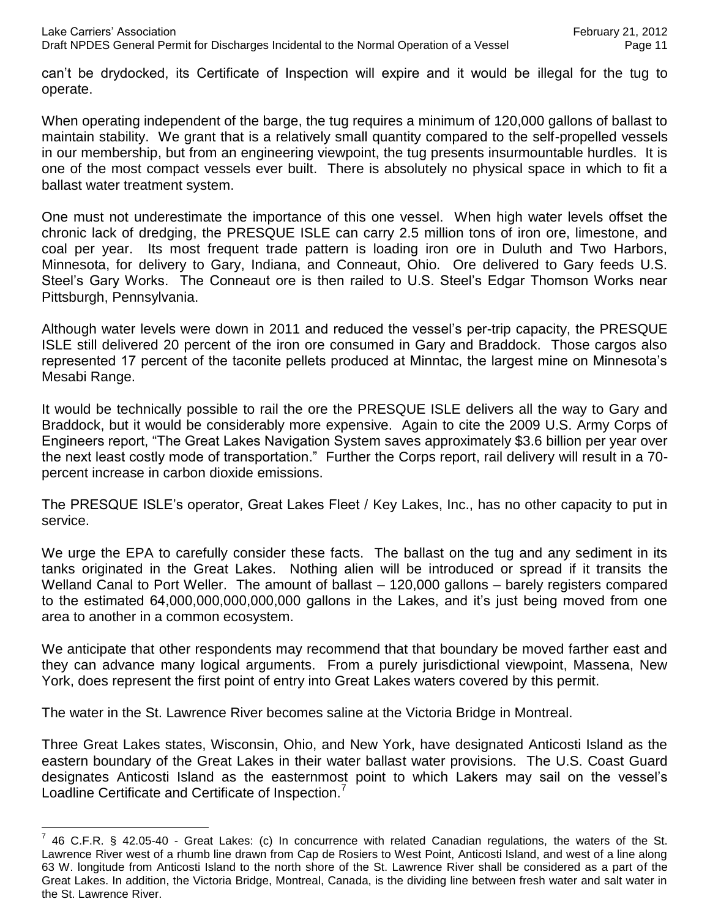can't be drydocked, its Certificate of Inspection will expire and it would be illegal for the tug to operate.

When operating independent of the barge, the tug requires a minimum of 120,000 gallons of ballast to maintain stability. We grant that is a relatively small quantity compared to the self-propelled vessels in our membership, but from an engineering viewpoint, the tug presents insurmountable hurdles. It is one of the most compact vessels ever built. There is absolutely no physical space in which to fit a ballast water treatment system.

One must not underestimate the importance of this one vessel. When high water levels offset the chronic lack of dredging, the PRESQUE ISLE can carry 2.5 million tons of iron ore, limestone, and coal per year. Its most frequent trade pattern is loading iron ore in Duluth and Two Harbors, Minnesota, for delivery to Gary, Indiana, and Conneaut, Ohio. Ore delivered to Gary feeds U.S. Steel's Gary Works. The Conneaut ore is then railed to U.S. Steel's Edgar Thomson Works near Pittsburgh, Pennsylvania.

Although water levels were down in 2011 and reduced the vessel's per-trip capacity, the PRESQUE ISLE still delivered 20 percent of the iron ore consumed in Gary and Braddock. Those cargos also represented 17 percent of the taconite pellets produced at Minntac, the largest mine on Minnesota's Mesabi Range.

It would be technically possible to rail the ore the PRESQUE ISLE delivers all the way to Gary and Braddock, but it would be considerably more expensive. Again to cite the 2009 U.S. Army Corps of Engineers report, "The Great Lakes Navigation System saves approximately \$3.6 billion per year over the next least costly mode of transportation." Further the Corps report, rail delivery will result in a 70 percent increase in carbon dioxide emissions.

The PRESQUE ISLE's operator, Great Lakes Fleet / Key Lakes, Inc., has no other capacity to put in service.

We urge the EPA to carefully consider these facts. The ballast on the tug and any sediment in its tanks originated in the Great Lakes. Nothing alien will be introduced or spread if it transits the Welland Canal to Port Weller. The amount of ballast – 120,000 gallons – barely registers compared to the estimated 64,000,000,000,000,000 gallons in the Lakes, and it's just being moved from one area to another in a common ecosystem.

We anticipate that other respondents may recommend that that boundary be moved farther east and they can advance many logical arguments. From a purely jurisdictional viewpoint, Massena, New York, does represent the first point of entry into Great Lakes waters covered by this permit.

The water in the St. Lawrence River becomes saline at the Victoria Bridge in Montreal.

 $\overline{a}$ 

Three Great Lakes states, Wisconsin, Ohio, and New York, have designated Anticosti Island as the eastern boundary of the Great Lakes in their water ballast water provisions. The U.S. Coast Guard designates Anticosti Island as the easternmost point to which Lakers may sail on the vessel's Loadline Certificate and Certificate of Inspection.<sup>7</sup>

 $^7$  46 C.F.R. § 42.05-40 - Great Lakes: (c) In concurrence with related Canadian regulations, the waters of the St. Lawrence River west of a rhumb line drawn from Cap de Rosiers to West Point, Anticosti Island, and west of a line along 63 W. longitude from Anticosti Island to the north shore of the St. Lawrence River shall be considered as a part of the Great Lakes. In addition, the Victoria Bridge, Montreal, Canada, is the dividing line between fresh water and salt water in the St. Lawrence River.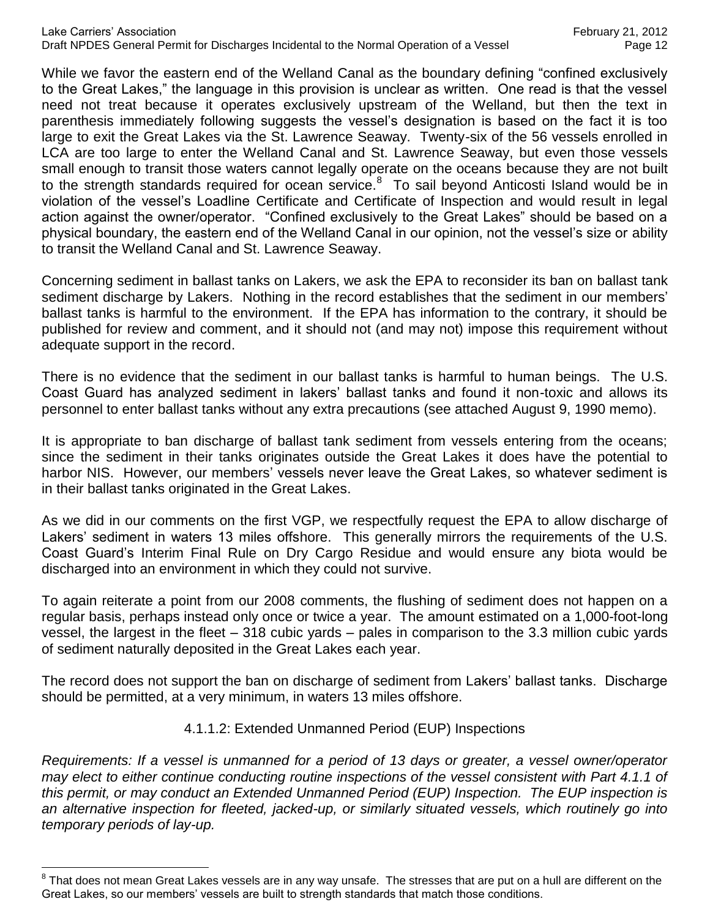While we favor the eastern end of the Welland Canal as the boundary defining "confined exclusively to the Great Lakes," the language in this provision is unclear as written. One read is that the vessel need not treat because it operates exclusively upstream of the Welland, but then the text in parenthesis immediately following suggests the vessel's designation is based on the fact it is too large to exit the Great Lakes via the St. Lawrence Seaway. Twenty-six of the 56 vessels enrolled in LCA are too large to enter the Welland Canal and St. Lawrence Seaway, but even those vessels small enough to transit those waters cannot legally operate on the oceans because they are not built to the strength standards required for ocean service. $8$  To sail beyond Anticosti Island would be in violation of the vessel's Loadline Certificate and Certificate of Inspection and would result in legal action against the owner/operator. "Confined exclusively to the Great Lakes" should be based on a physical boundary, the eastern end of the Welland Canal in our opinion, not the vessel's size or ability to transit the Welland Canal and St. Lawrence Seaway.

Concerning sediment in ballast tanks on Lakers, we ask the EPA to reconsider its ban on ballast tank sediment discharge by Lakers. Nothing in the record establishes that the sediment in our members' ballast tanks is harmful to the environment. If the EPA has information to the contrary, it should be published for review and comment, and it should not (and may not) impose this requirement without adequate support in the record.

There is no evidence that the sediment in our ballast tanks is harmful to human beings. The U.S. Coast Guard has analyzed sediment in lakers' ballast tanks and found it non-toxic and allows its personnel to enter ballast tanks without any extra precautions (see attached August 9, 1990 memo).

It is appropriate to ban discharge of ballast tank sediment from vessels entering from the oceans; since the sediment in their tanks originates outside the Great Lakes it does have the potential to harbor NIS. However, our members' vessels never leave the Great Lakes, so whatever sediment is in their ballast tanks originated in the Great Lakes.

As we did in our comments on the first VGP, we respectfully request the EPA to allow discharge of Lakers' sediment in waters 13 miles offshore. This generally mirrors the requirements of the U.S. Coast Guard's Interim Final Rule on Dry Cargo Residue and would ensure any biota would be discharged into an environment in which they could not survive.

To again reiterate a point from our 2008 comments, the flushing of sediment does not happen on a regular basis, perhaps instead only once or twice a year. The amount estimated on a 1,000-foot-long vessel, the largest in the fleet – 318 cubic yards – pales in comparison to the 3.3 million cubic yards of sediment naturally deposited in the Great Lakes each year.

The record does not support the ban on discharge of sediment from Lakers' ballast tanks. Discharge should be permitted, at a very minimum, in waters 13 miles offshore.

### 4.1.1.2: Extended Unmanned Period (EUP) Inspections

*Requirements: If a vessel is unmanned for a period of 13 days or greater, a vessel owner/operator may elect to either continue conducting routine inspections of the vessel consistent with Part 4.1.1 of this permit, or may conduct an Extended Unmanned Period (EUP) Inspection. The EUP inspection is an alternative inspection for fleeted, jacked-up, or similarly situated vessels, which routinely go into temporary periods of lay-up.*

 $\overline{a}$ 

 $^8$  That does not mean Great Lakes vessels are in any way unsafe. The stresses that are put on a hull are different on the Great Lakes, so our members' vessels are built to strength standards that match those conditions.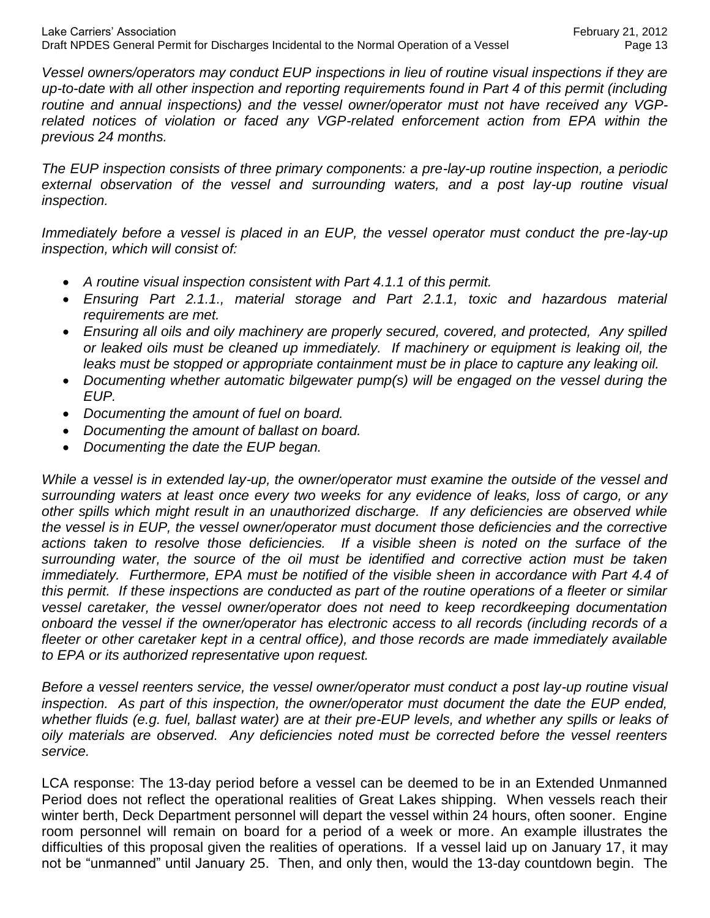*Vessel owners/operators may conduct EUP inspections in lieu of routine visual inspections if they are up-to-date with all other inspection and reporting requirements found in Part 4 of this permit (including routine and annual inspections) and the vessel owner/operator must not have received any VGP*related notices of violation or faced any VGP-related enforcement action from EPA within the *previous 24 months.*

*The EUP inspection consists of three primary components: a pre-lay-up routine inspection, a periodic*  external observation of the vessel and surrounding waters, and a post lay-up routine visual *inspection.*

*Immediately before a vessel is placed in an EUP, the vessel operator must conduct the pre-lay-up inspection, which will consist of:*

- *A routine visual inspection consistent with Part 4.1.1 of this permit.*
- *Ensuring Part 2.1.1., material storage and Part 2.1.1, toxic and hazardous material requirements are met.*
- *Ensuring all oils and oily machinery are properly secured, covered, and protected, Any spilled or leaked oils must be cleaned up immediately. If machinery or equipment is leaking oil, the leaks must be stopped or appropriate containment must be in place to capture any leaking oil.*
- Documenting whether automatic bilgewater pump(s) will be engaged on the vessel during the *EUP.*
- *Documenting the amount of fuel on board.*
- *Documenting the amount of ballast on board.*
- *Documenting the date the EUP began.*

*While a vessel is in extended lay-up, the owner/operator must examine the outside of the vessel and surrounding waters at least once every two weeks for any evidence of leaks, loss of cargo, or any other spills which might result in an unauthorized discharge. If any deficiencies are observed while the vessel is in EUP, the vessel owner/operator must document those deficiencies and the corrective actions taken to resolve those deficiencies. If a visible sheen is noted on the surface of the surrounding water, the source of the oil must be identified and corrective action must be taken immediately. Furthermore, EPA must be notified of the visible sheen in accordance with Part 4.4 of this permit. If these inspections are conducted as part of the routine operations of a fleeter or similar vessel caretaker, the vessel owner/operator does not need to keep recordkeeping documentation onboard the vessel if the owner/operator has electronic access to all records (including records of a fleeter or other caretaker kept in a central office), and those records are made immediately available to EPA or its authorized representative upon request.*

*Before a vessel reenters service, the vessel owner/operator must conduct a post lay-up routine visual inspection. As part of this inspection, the owner/operator must document the date the EUP ended, whether fluids (e.g. fuel, ballast water) are at their pre-EUP levels, and whether any spills or leaks of oily materials are observed. Any deficiencies noted must be corrected before the vessel reenters service.*

LCA response: The 13-day period before a vessel can be deemed to be in an Extended Unmanned Period does not reflect the operational realities of Great Lakes shipping. When vessels reach their winter berth, Deck Department personnel will depart the vessel within 24 hours, often sooner. Engine room personnel will remain on board for a period of a week or more. An example illustrates the difficulties of this proposal given the realities of operations. If a vessel laid up on January 17, it may not be "unmanned" until January 25. Then, and only then, would the 13-day countdown begin. The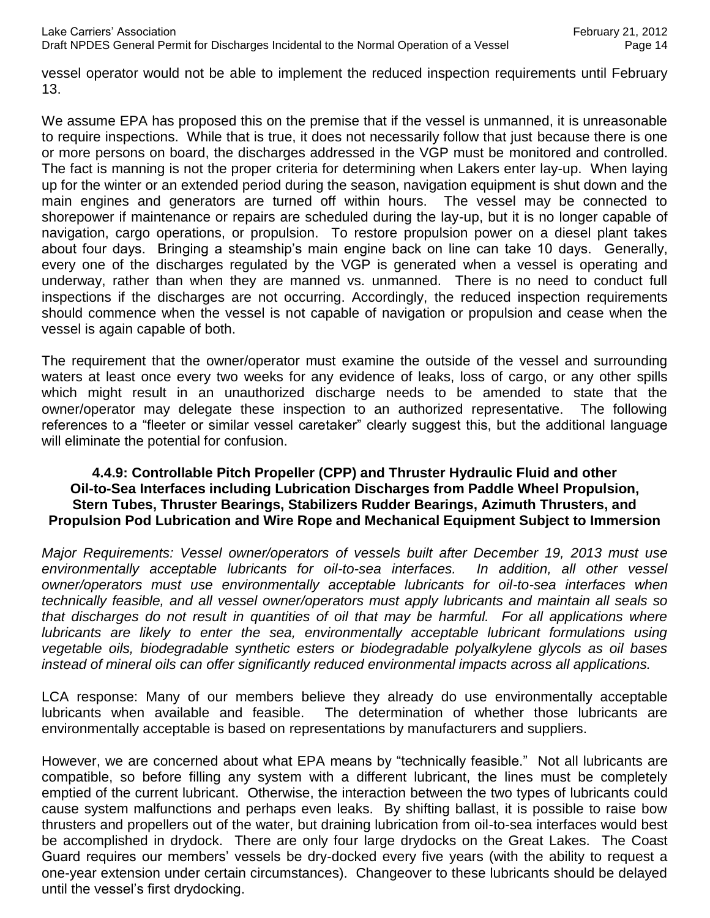vessel operator would not be able to implement the reduced inspection requirements until February 13.

We assume EPA has proposed this on the premise that if the vessel is unmanned, it is unreasonable to require inspections. While that is true, it does not necessarily follow that just because there is one or more persons on board, the discharges addressed in the VGP must be monitored and controlled. The fact is manning is not the proper criteria for determining when Lakers enter lay-up. When laying up for the winter or an extended period during the season, navigation equipment is shut down and the main engines and generators are turned off within hours. The vessel may be connected to shorepower if maintenance or repairs are scheduled during the lay-up, but it is no longer capable of navigation, cargo operations, or propulsion. To restore propulsion power on a diesel plant takes about four days. Bringing a steamship's main engine back on line can take 10 days. Generally, every one of the discharges regulated by the VGP is generated when a vessel is operating and underway, rather than when they are manned vs. unmanned. There is no need to conduct full inspections if the discharges are not occurring. Accordingly, the reduced inspection requirements should commence when the vessel is not capable of navigation or propulsion and cease when the vessel is again capable of both.

The requirement that the owner/operator must examine the outside of the vessel and surrounding waters at least once every two weeks for any evidence of leaks, loss of cargo, or any other spills which might result in an unauthorized discharge needs to be amended to state that the owner/operator may delegate these inspection to an authorized representative. The following references to a "fleeter or similar vessel caretaker" clearly suggest this, but the additional language will eliminate the potential for confusion.

#### **4.4.9: Controllable Pitch Propeller (CPP) and Thruster Hydraulic Fluid and other Oil-to-Sea Interfaces including Lubrication Discharges from Paddle Wheel Propulsion, Stern Tubes, Thruster Bearings, Stabilizers Rudder Bearings, Azimuth Thrusters, and Propulsion Pod Lubrication and Wire Rope and Mechanical Equipment Subject to Immersion**

*Major Requirements: Vessel owner/operators of vessels built after December 19, 2013 must use environmentally acceptable lubricants for oil-to-sea interfaces. In addition, all other vessel owner/operators must use environmentally acceptable lubricants for oil-to-sea interfaces when technically feasible, and all vessel owner/operators must apply lubricants and maintain all seals so that discharges do not result in quantities of oil that may be harmful. For all applications where lubricants are likely to enter the sea, environmentally acceptable lubricant formulations using vegetable oils, biodegradable synthetic esters or biodegradable polyalkylene glycols as oil bases instead of mineral oils can offer significantly reduced environmental impacts across all applications.*

LCA response: Many of our members believe they already do use environmentally acceptable lubricants when available and feasible. The determination of whether those lubricants are environmentally acceptable is based on representations by manufacturers and suppliers.

However, we are concerned about what EPA means by "technically feasible." Not all lubricants are compatible, so before filling any system with a different lubricant, the lines must be completely emptied of the current lubricant. Otherwise, the interaction between the two types of lubricants could cause system malfunctions and perhaps even leaks. By shifting ballast, it is possible to raise bow thrusters and propellers out of the water, but draining lubrication from oil-to-sea interfaces would best be accomplished in drydock. There are only four large drydocks on the Great Lakes. The Coast Guard requires our members' vessels be dry-docked every five years (with the ability to request a one-year extension under certain circumstances). Changeover to these lubricants should be delayed until the vessel's first drydocking.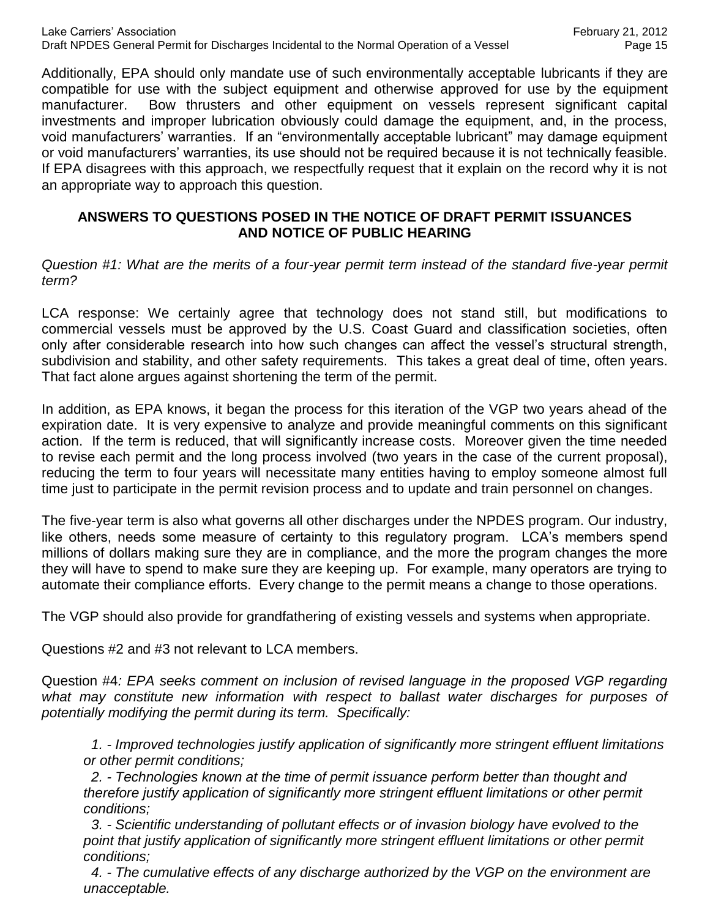Additionally, EPA should only mandate use of such environmentally acceptable lubricants if they are compatible for use with the subject equipment and otherwise approved for use by the equipment manufacturer. Bow thrusters and other equipment on vessels represent significant capital investments and improper lubrication obviously could damage the equipment, and, in the process, void manufacturers' warranties. If an "environmentally acceptable lubricant" may damage equipment or void manufacturers' warranties, its use should not be required because it is not technically feasible. If EPA disagrees with this approach, we respectfully request that it explain on the record why it is not an appropriate way to approach this question.

#### **ANSWERS TO QUESTIONS POSED IN THE NOTICE OF DRAFT PERMIT ISSUANCES AND NOTICE OF PUBLIC HEARING**

*Question #1: What are the merits of a four-year permit term instead of the standard five-year permit term?*

LCA response: We certainly agree that technology does not stand still, but modifications to commercial vessels must be approved by the U.S. Coast Guard and classification societies, often only after considerable research into how such changes can affect the vessel's structural strength, subdivision and stability, and other safety requirements. This takes a great deal of time, often years. That fact alone argues against shortening the term of the permit.

In addition, as EPA knows, it began the process for this iteration of the VGP two years ahead of the expiration date. It is very expensive to analyze and provide meaningful comments on this significant action. If the term is reduced, that will significantly increase costs. Moreover given the time needed to revise each permit and the long process involved (two years in the case of the current proposal), reducing the term to four years will necessitate many entities having to employ someone almost full time just to participate in the permit revision process and to update and train personnel on changes.

The five-year term is also what governs all other discharges under the NPDES program. Our industry, like others, needs some measure of certainty to this regulatory program. LCA's members spend millions of dollars making sure they are in compliance, and the more the program changes the more they will have to spend to make sure they are keeping up. For example, many operators are trying to automate their compliance efforts. Every change to the permit means a change to those operations.

The VGP should also provide for grandfathering of existing vessels and systems when appropriate.

Questions #2 and #3 not relevant to LCA members.

Question #4*: EPA seeks comment on inclusion of revised language in the proposed VGP regarding what may constitute new information with respect to ballast water discharges for purposes of potentially modifying the permit during its term. Specifically:*

 *1. - Improved technologies justify application of significantly more stringent effluent limitations or other permit conditions;*

 *2. - Technologies known at the time of permit issuance perform better than thought and therefore justify application of significantly more stringent effluent limitations or other permit conditions;*

 *3. - Scientific understanding of pollutant effects or of invasion biology have evolved to the point that justify application of significantly more stringent effluent limitations or other permit conditions;*

 *4. - The cumulative effects of any discharge authorized by the VGP on the environment are unacceptable.*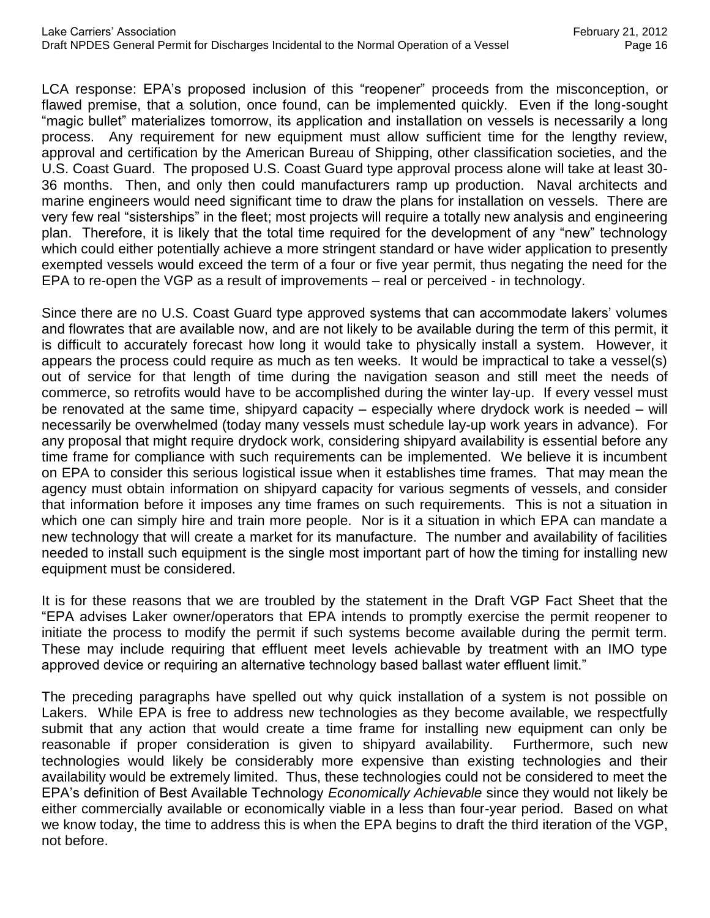LCA response: EPA's proposed inclusion of this "reopener" proceeds from the misconception, or flawed premise, that a solution, once found, can be implemented quickly. Even if the long-sought "magic bullet" materializes tomorrow, its application and installation on vessels is necessarily a long process. Any requirement for new equipment must allow sufficient time for the lengthy review, approval and certification by the American Bureau of Shipping, other classification societies, and the U.S. Coast Guard. The proposed U.S. Coast Guard type approval process alone will take at least 30- 36 months. Then, and only then could manufacturers ramp up production. Naval architects and marine engineers would need significant time to draw the plans for installation on vessels. There are very few real "sisterships" in the fleet; most projects will require a totally new analysis and engineering plan. Therefore, it is likely that the total time required for the development of any "new" technology which could either potentially achieve a more stringent standard or have wider application to presently exempted vessels would exceed the term of a four or five year permit, thus negating the need for the EPA to re-open the VGP as a result of improvements – real or perceived - in technology.

Since there are no U.S. Coast Guard type approved systems that can accommodate lakers' volumes and flowrates that are available now, and are not likely to be available during the term of this permit, it is difficult to accurately forecast how long it would take to physically install a system. However, it appears the process could require as much as ten weeks. It would be impractical to take a vessel(s) out of service for that length of time during the navigation season and still meet the needs of commerce, so retrofits would have to be accomplished during the winter lay-up. If every vessel must be renovated at the same time, shipyard capacity – especially where drydock work is needed – will necessarily be overwhelmed (today many vessels must schedule lay-up work years in advance). For any proposal that might require drydock work, considering shipyard availability is essential before any time frame for compliance with such requirements can be implemented. We believe it is incumbent on EPA to consider this serious logistical issue when it establishes time frames. That may mean the agency must obtain information on shipyard capacity for various segments of vessels, and consider that information before it imposes any time frames on such requirements. This is not a situation in which one can simply hire and train more people. Nor is it a situation in which EPA can mandate a new technology that will create a market for its manufacture. The number and availability of facilities needed to install such equipment is the single most important part of how the timing for installing new equipment must be considered.

It is for these reasons that we are troubled by the statement in the Draft VGP Fact Sheet that the "EPA advises Laker owner/operators that EPA intends to promptly exercise the permit reopener to initiate the process to modify the permit if such systems become available during the permit term. These may include requiring that effluent meet levels achievable by treatment with an IMO type approved device or requiring an alternative technology based ballast water effluent limit."

The preceding paragraphs have spelled out why quick installation of a system is not possible on Lakers. While EPA is free to address new technologies as they become available, we respectfully submit that any action that would create a time frame for installing new equipment can only be reasonable if proper consideration is given to shipyard availability. Furthermore, such new technologies would likely be considerably more expensive than existing technologies and their availability would be extremely limited. Thus, these technologies could not be considered to meet the EPA's definition of Best Available Technology *Economically Achievable* since they would not likely be either commercially available or economically viable in a less than four-year period. Based on what we know today, the time to address this is when the EPA begins to draft the third iteration of the VGP, not before.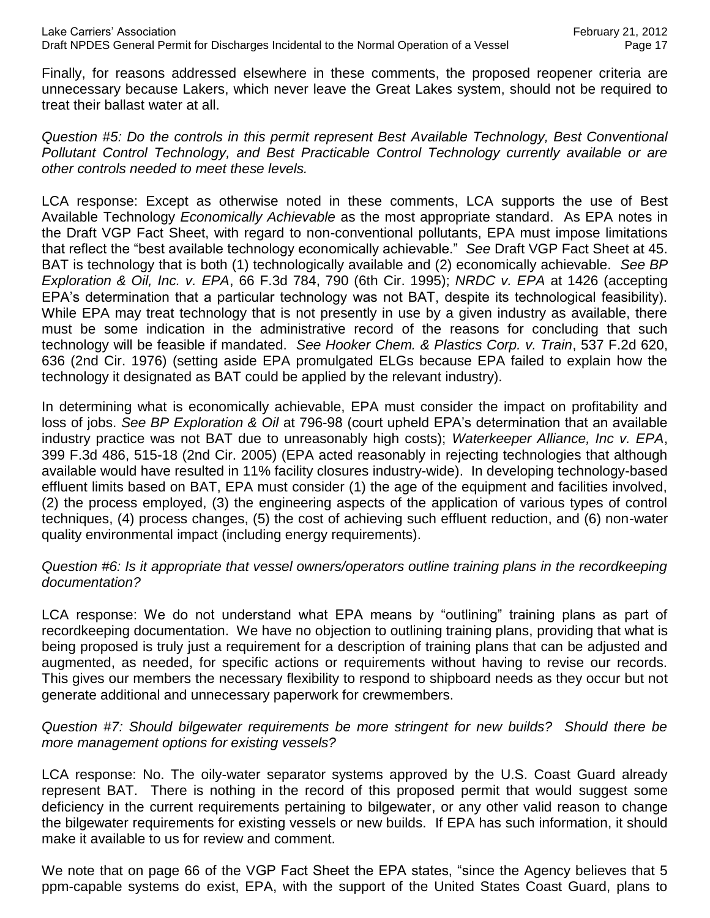Finally, for reasons addressed elsewhere in these comments, the proposed reopener criteria are unnecessary because Lakers, which never leave the Great Lakes system, should not be required to treat their ballast water at all.

*Question #5: Do the controls in this permit represent Best Available Technology, Best Conventional Pollutant Control Technology, and Best Practicable Control Technology currently available or are other controls needed to meet these levels.*

LCA response: Except as otherwise noted in these comments, LCA supports the use of Best Available Technology *Economically Achievable* as the most appropriate standard. As EPA notes in the Draft VGP Fact Sheet, with regard to non-conventional pollutants, EPA must impose limitations that reflect the "best available technology economically achievable." *See* Draft VGP Fact Sheet at 45. BAT is technology that is both (1) technologically available and (2) economically achievable. *See BP Exploration & Oil, Inc. v. EPA*, 66 F.3d 784, 790 (6th Cir. 1995); *NRDC v. EPA* at 1426 (accepting EPA's determination that a particular technology was not BAT, despite its technological feasibility). While EPA may treat technology that is not presently in use by a given industry as available, there must be some indication in the administrative record of the reasons for concluding that such technology will be feasible if mandated. *See Hooker Chem. & Plastics Corp. v. Train*, 537 F.2d 620, 636 (2nd Cir. 1976) (setting aside EPA promulgated ELGs because EPA failed to explain how the technology it designated as BAT could be applied by the relevant industry).

In determining what is economically achievable, EPA must consider the impact on profitability and loss of jobs. *See BP Exploration & Oil* at 796-98 (court upheld EPA's determination that an available industry practice was not BAT due to unreasonably high costs); *Waterkeeper Alliance, Inc v. EPA*, 399 F.3d 486, 515-18 (2nd Cir. 2005) (EPA acted reasonably in rejecting technologies that although available would have resulted in 11% facility closures industry-wide). In developing technology-based effluent limits based on BAT, EPA must consider (1) the age of the equipment and facilities involved, (2) the process employed, (3) the engineering aspects of the application of various types of control techniques, (4) process changes, (5) the cost of achieving such effluent reduction, and (6) non-water quality environmental impact (including energy requirements).

### *Question #6: Is it appropriate that vessel owners/operators outline training plans in the recordkeeping documentation?*

LCA response: We do not understand what EPA means by "outlining" training plans as part of recordkeeping documentation. We have no objection to outlining training plans, providing that what is being proposed is truly just a requirement for a description of training plans that can be adjusted and augmented, as needed, for specific actions or requirements without having to revise our records. This gives our members the necessary flexibility to respond to shipboard needs as they occur but not generate additional and unnecessary paperwork for crewmembers.

*Question #7: Should bilgewater requirements be more stringent for new builds? Should there be more management options for existing vessels?*

LCA response: No. The oily-water separator systems approved by the U.S. Coast Guard already represent BAT. There is nothing in the record of this proposed permit that would suggest some deficiency in the current requirements pertaining to bilgewater, or any other valid reason to change the bilgewater requirements for existing vessels or new builds. If EPA has such information, it should make it available to us for review and comment.

We note that on page 66 of the VGP Fact Sheet the EPA states, "since the Agency believes that 5 ppm-capable systems do exist, EPA, with the support of the United States Coast Guard, plans to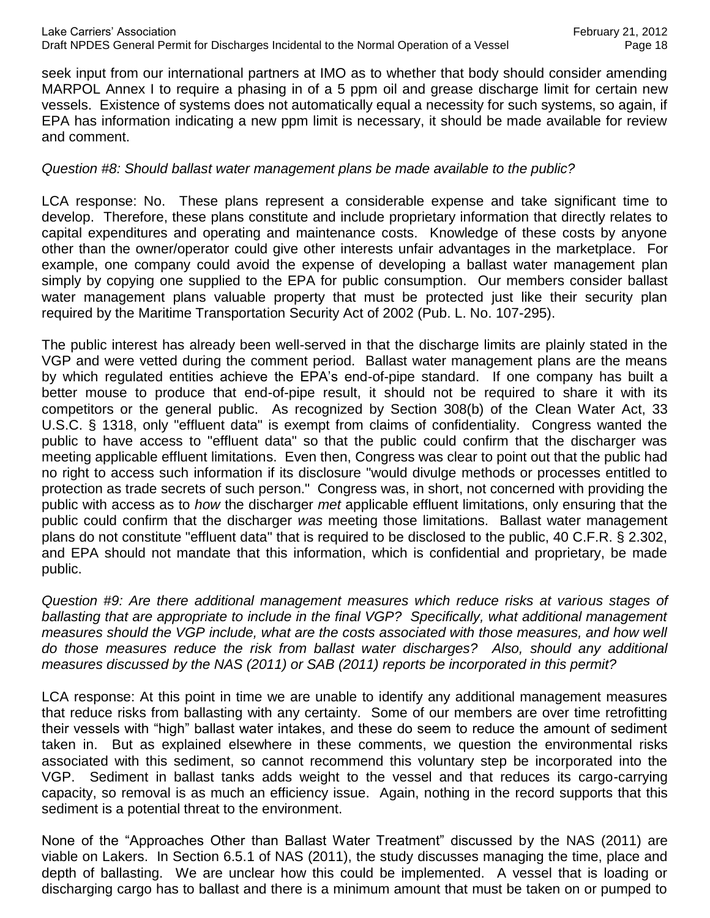seek input from our international partners at IMO as to whether that body should consider amending MARPOL Annex I to require a phasing in of a 5 ppm oil and grease discharge limit for certain new vessels. Existence of systems does not automatically equal a necessity for such systems, so again, if EPA has information indicating a new ppm limit is necessary, it should be made available for review and comment.

#### *Question #8: Should ballast water management plans be made available to the public?*

LCA response: No. These plans represent a considerable expense and take significant time to develop. Therefore, these plans constitute and include proprietary information that directly relates to capital expenditures and operating and maintenance costs. Knowledge of these costs by anyone other than the owner/operator could give other interests unfair advantages in the marketplace. For example, one company could avoid the expense of developing a ballast water management plan simply by copying one supplied to the EPA for public consumption. Our members consider ballast water management plans valuable property that must be protected just like their security plan required by the Maritime Transportation Security Act of 2002 (Pub. L. No. 107-295).

The public interest has already been well-served in that the discharge limits are plainly stated in the VGP and were vetted during the comment period. Ballast water management plans are the means by which regulated entities achieve the EPA's end-of-pipe standard. If one company has built a better mouse to produce that end-of-pipe result, it should not be required to share it with its competitors or the general public. As recognized by Section 308(b) of the Clean Water Act, 33 U.S.C. § 1318, only "effluent data" is exempt from claims of confidentiality. Congress wanted the public to have access to "effluent data" so that the public could confirm that the discharger was meeting applicable effluent limitations. Even then, Congress was clear to point out that the public had no right to access such information if its disclosure "would divulge methods or processes entitled to protection as trade secrets of such person." Congress was, in short, not concerned with providing the public with access as to *how* the discharger *met* applicable effluent limitations, only ensuring that the public could confirm that the discharger *was* meeting those limitations. Ballast water management plans do not constitute "effluent data" that is required to be disclosed to the public, 40 C.F.R. § 2.302, and EPA should not mandate that this information, which is confidential and proprietary, be made public.

*Question #9: Are there additional management measures which reduce risks at various stages of ballasting that are appropriate to include in the final VGP? Specifically, what additional management*  measures should the VGP include, what are the costs associated with those measures, and how well *do those measures reduce the risk from ballast water discharges? Also, should any additional measures discussed by the NAS (2011) or SAB (2011) reports be incorporated in this permit?*

LCA response: At this point in time we are unable to identify any additional management measures that reduce risks from ballasting with any certainty. Some of our members are over time retrofitting their vessels with "high" ballast water intakes, and these do seem to reduce the amount of sediment taken in. But as explained elsewhere in these comments, we question the environmental risks associated with this sediment, so cannot recommend this voluntary step be incorporated into the VGP. Sediment in ballast tanks adds weight to the vessel and that reduces its cargo-carrying capacity, so removal is as much an efficiency issue. Again, nothing in the record supports that this sediment is a potential threat to the environment.

None of the "Approaches Other than Ballast Water Treatment" discussed by the NAS (2011) are viable on Lakers. In Section 6.5.1 of NAS (2011), the study discusses managing the time, place and depth of ballasting. We are unclear how this could be implemented. A vessel that is loading or discharging cargo has to ballast and there is a minimum amount that must be taken on or pumped to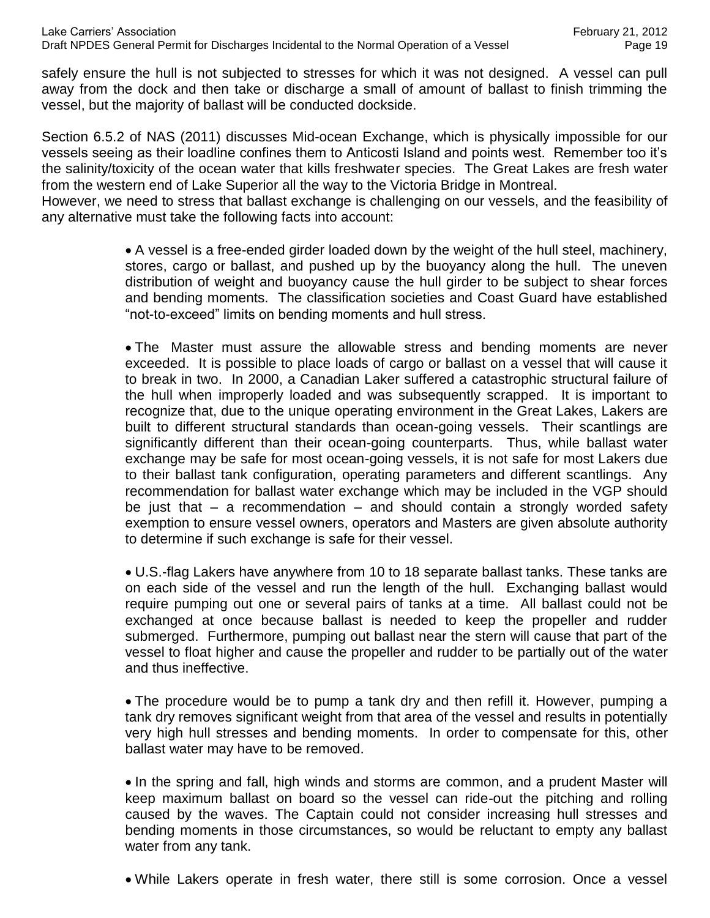safely ensure the hull is not subjected to stresses for which it was not designed. A vessel can pull away from the dock and then take or discharge a small of amount of ballast to finish trimming the vessel, but the majority of ballast will be conducted dockside.

Section 6.5.2 of NAS (2011) discusses Mid-ocean Exchange, which is physically impossible for our vessels seeing as their loadline confines them to Anticosti Island and points west. Remember too it's the salinity/toxicity of the ocean water that kills freshwater species. The Great Lakes are fresh water from the western end of Lake Superior all the way to the Victoria Bridge in Montreal.

However, we need to stress that ballast exchange is challenging on our vessels, and the feasibility of any alternative must take the following facts into account:

> A vessel is a free-ended girder loaded down by the weight of the hull steel, machinery, stores, cargo or ballast, and pushed up by the buoyancy along the hull. The uneven distribution of weight and buoyancy cause the hull girder to be subject to shear forces and bending moments. The classification societies and Coast Guard have established "not-to-exceed" limits on bending moments and hull stress.

> The Master must assure the allowable stress and bending moments are never exceeded. It is possible to place loads of cargo or ballast on a vessel that will cause it to break in two. In 2000, a Canadian Laker suffered a catastrophic structural failure of the hull when improperly loaded and was subsequently scrapped. It is important to recognize that, due to the unique operating environment in the Great Lakes, Lakers are built to different structural standards than ocean-going vessels. Their scantlings are significantly different than their ocean-going counterparts. Thus, while ballast water exchange may be safe for most ocean-going vessels, it is not safe for most Lakers due to their ballast tank configuration, operating parameters and different scantlings. Any recommendation for ballast water exchange which may be included in the VGP should be just that – a recommendation – and should contain a strongly worded safety exemption to ensure vessel owners, operators and Masters are given absolute authority to determine if such exchange is safe for their vessel.

> U.S.-flag Lakers have anywhere from 10 to 18 separate ballast tanks. These tanks are on each side of the vessel and run the length of the hull. Exchanging ballast would require pumping out one or several pairs of tanks at a time. All ballast could not be exchanged at once because ballast is needed to keep the propeller and rudder submerged. Furthermore, pumping out ballast near the stern will cause that part of the vessel to float higher and cause the propeller and rudder to be partially out of the water and thus ineffective.

> The procedure would be to pump a tank dry and then refill it. However, pumping a tank dry removes significant weight from that area of the vessel and results in potentially very high hull stresses and bending moments. In order to compensate for this, other ballast water may have to be removed.

> • In the spring and fall, high winds and storms are common, and a prudent Master will keep maximum ballast on board so the vessel can ride-out the pitching and rolling caused by the waves. The Captain could not consider increasing hull stresses and bending moments in those circumstances, so would be reluctant to empty any ballast water from any tank.

> While Lakers operate in fresh water, there still is some corrosion. Once a vessel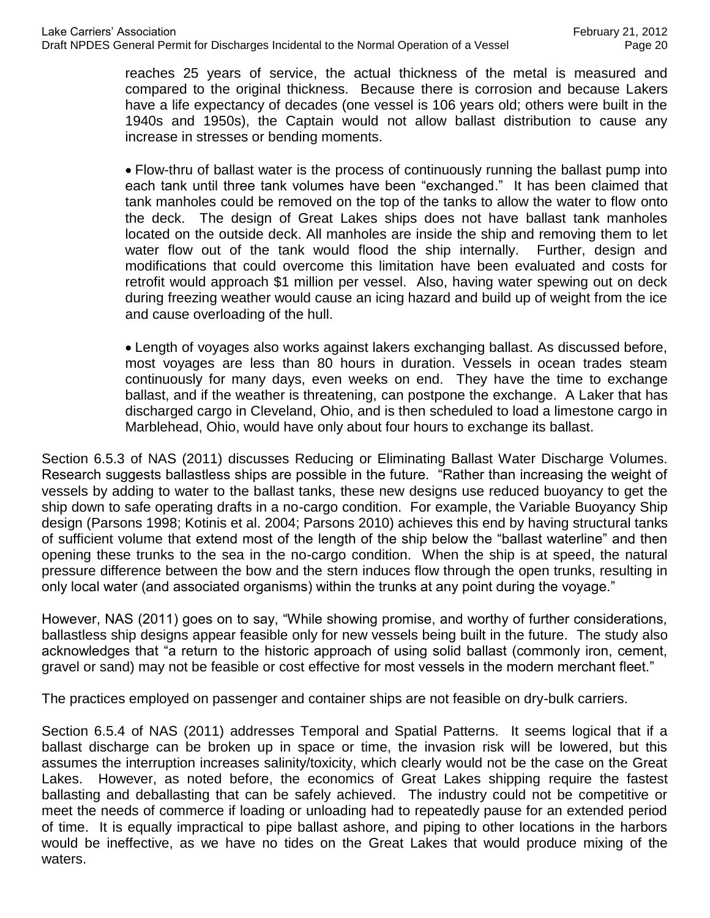reaches 25 years of service, the actual thickness of the metal is measured and compared to the original thickness. Because there is corrosion and because Lakers have a life expectancy of decades (one vessel is 106 years old; others were built in the 1940s and 1950s), the Captain would not allow ballast distribution to cause any increase in stresses or bending moments.

Flow-thru of ballast water is the process of continuously running the ballast pump into each tank until three tank volumes have been "exchanged." It has been claimed that tank manholes could be removed on the top of the tanks to allow the water to flow onto the deck. The design of Great Lakes ships does not have ballast tank manholes located on the outside deck. All manholes are inside the ship and removing them to let water flow out of the tank would flood the ship internally. Further, design and modifications that could overcome this limitation have been evaluated and costs for retrofit would approach \$1 million per vessel. Also, having water spewing out on deck during freezing weather would cause an icing hazard and build up of weight from the ice and cause overloading of the hull.

Length of voyages also works against lakers exchanging ballast. As discussed before, most voyages are less than 80 hours in duration. Vessels in ocean trades steam continuously for many days, even weeks on end. They have the time to exchange ballast, and if the weather is threatening, can postpone the exchange. A Laker that has discharged cargo in Cleveland, Ohio, and is then scheduled to load a limestone cargo in Marblehead, Ohio, would have only about four hours to exchange its ballast.

Section 6.5.3 of NAS (2011) discusses Reducing or Eliminating Ballast Water Discharge Volumes. Research suggests ballastless ships are possible in the future. "Rather than increasing the weight of vessels by adding to water to the ballast tanks, these new designs use reduced buoyancy to get the ship down to safe operating drafts in a no-cargo condition. For example, the Variable Buoyancy Ship design (Parsons 1998; Kotinis et al. 2004; Parsons 2010) achieves this end by having structural tanks of sufficient volume that extend most of the length of the ship below the "ballast waterline" and then opening these trunks to the sea in the no-cargo condition. When the ship is at speed, the natural pressure difference between the bow and the stern induces flow through the open trunks, resulting in only local water (and associated organisms) within the trunks at any point during the voyage."

However, NAS (2011) goes on to say, "While showing promise, and worthy of further considerations, ballastless ship designs appear feasible only for new vessels being built in the future. The study also acknowledges that "a return to the historic approach of using solid ballast (commonly iron, cement, gravel or sand) may not be feasible or cost effective for most vessels in the modern merchant fleet."

The practices employed on passenger and container ships are not feasible on dry-bulk carriers.

Section 6.5.4 of NAS (2011) addresses Temporal and Spatial Patterns. It seems logical that if a ballast discharge can be broken up in space or time, the invasion risk will be lowered, but this assumes the interruption increases salinity/toxicity, which clearly would not be the case on the Great Lakes. However, as noted before, the economics of Great Lakes shipping require the fastest ballasting and deballasting that can be safely achieved. The industry could not be competitive or meet the needs of commerce if loading or unloading had to repeatedly pause for an extended period of time. It is equally impractical to pipe ballast ashore, and piping to other locations in the harbors would be ineffective, as we have no tides on the Great Lakes that would produce mixing of the waters.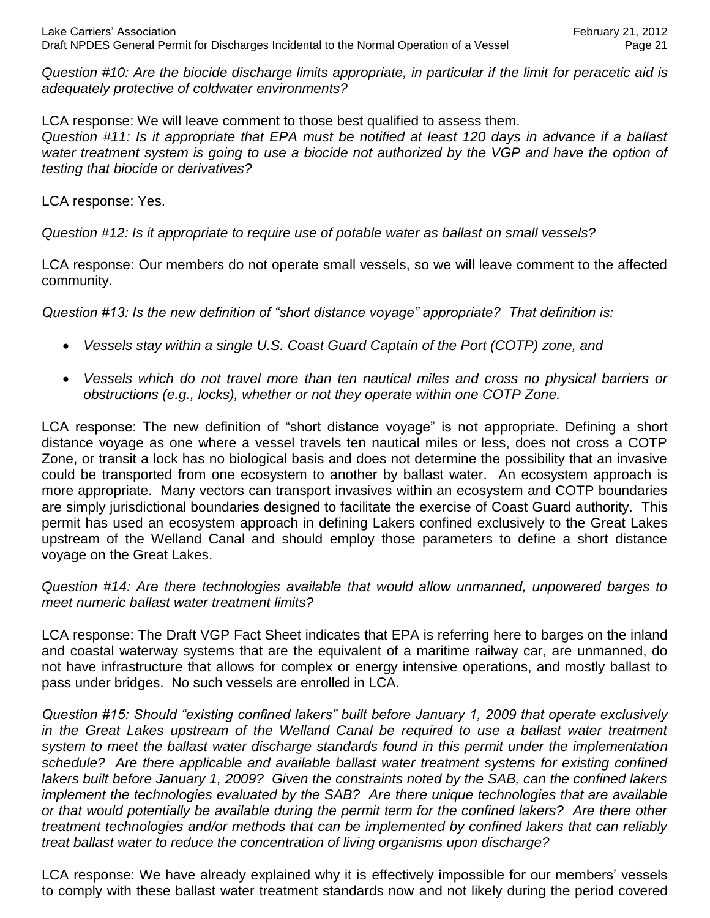*Question #10: Are the biocide discharge limits appropriate, in particular if the limit for peracetic aid is adequately protective of coldwater environments?*

LCA response: We will leave comment to those best qualified to assess them. *Question #11: Is it appropriate that EPA must be notified at least 120 days in advance if a ballast*  water treatment system is going to use a biocide not authorized by the VGP and have the option of *testing that biocide or derivatives?*

LCA response: Yes.

*Question #12: Is it appropriate to require use of potable water as ballast on small vessels?*

LCA response: Our members do not operate small vessels, so we will leave comment to the affected community.

*Question #13: Is the new definition of "short distance voyage" appropriate? That definition is:*

- *Vessels stay within a single U.S. Coast Guard Captain of the Port (COTP) zone, and*
- *Vessels which do not travel more than ten nautical miles and cross no physical barriers or obstructions (e.g., locks), whether or not they operate within one COTP Zone.*

LCA response: The new definition of "short distance voyage" is not appropriate. Defining a short distance voyage as one where a vessel travels ten nautical miles or less, does not cross a COTP Zone, or transit a lock has no biological basis and does not determine the possibility that an invasive could be transported from one ecosystem to another by ballast water. An ecosystem approach is more appropriate. Many vectors can transport invasives within an ecosystem and COTP boundaries are simply jurisdictional boundaries designed to facilitate the exercise of Coast Guard authority. This permit has used an ecosystem approach in defining Lakers confined exclusively to the Great Lakes upstream of the Welland Canal and should employ those parameters to define a short distance voyage on the Great Lakes.

*Question #14: Are there technologies available that would allow unmanned, unpowered barges to meet numeric ballast water treatment limits?*

LCA response: The Draft VGP Fact Sheet indicates that EPA is referring here to barges on the inland and coastal waterway systems that are the equivalent of a maritime railway car, are unmanned, do not have infrastructure that allows for complex or energy intensive operations, and mostly ballast to pass under bridges. No such vessels are enrolled in LCA.

*Question #15: Should "existing confined lakers" built before January 1, 2009 that operate exclusively in the Great Lakes upstream of the Welland Canal be required to use a ballast water treatment system to meet the ballast water discharge standards found in this permit under the implementation schedule? Are there applicable and available ballast water treatment systems for existing confined lakers built before January 1, 2009? Given the constraints noted by the SAB, can the confined lakers implement the technologies evaluated by the SAB? Are there unique technologies that are available or that would potentially be available during the permit term for the confined lakers? Are there other treatment technologies and/or methods that can be implemented by confined lakers that can reliably treat ballast water to reduce the concentration of living organisms upon discharge?* 

LCA response: We have already explained why it is effectively impossible for our members' vessels to comply with these ballast water treatment standards now and not likely during the period covered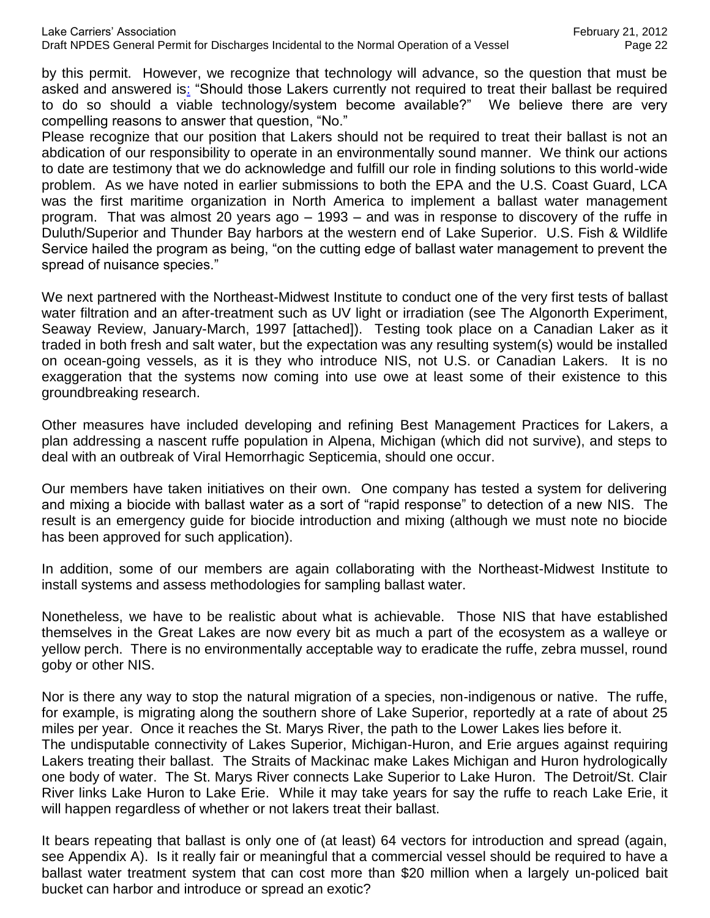by this permit. However, we recognize that technology will advance, so the question that must be asked and answered is: "Should those Lakers currently not required to treat their ballast be required to do so should a viable technology/system become available?" We believe there are very compelling reasons to answer that question, "No."

Please recognize that our position that Lakers should not be required to treat their ballast is not an abdication of our responsibility to operate in an environmentally sound manner. We think our actions to date are testimony that we do acknowledge and fulfill our role in finding solutions to this world-wide problem. As we have noted in earlier submissions to both the EPA and the U.S. Coast Guard, LCA was the first maritime organization in North America to implement a ballast water management program. That was almost 20 years ago – 1993 – and was in response to discovery of the ruffe in Duluth/Superior and Thunder Bay harbors at the western end of Lake Superior. U.S. Fish & Wildlife Service hailed the program as being, "on the cutting edge of ballast water management to prevent the spread of nuisance species."

We next partnered with the Northeast-Midwest Institute to conduct one of the very first tests of ballast water filtration and an after-treatment such as UV light or irradiation (see The Algonorth Experiment, Seaway Review, January-March, 1997 [attached]). Testing took place on a Canadian Laker as it traded in both fresh and salt water, but the expectation was any resulting system(s) would be installed on ocean-going vessels, as it is they who introduce NIS, not U.S. or Canadian Lakers. It is no exaggeration that the systems now coming into use owe at least some of their existence to this groundbreaking research.

Other measures have included developing and refining Best Management Practices for Lakers, a plan addressing a nascent ruffe population in Alpena, Michigan (which did not survive), and steps to deal with an outbreak of Viral Hemorrhagic Septicemia, should one occur.

Our members have taken initiatives on their own. One company has tested a system for delivering and mixing a biocide with ballast water as a sort of "rapid response" to detection of a new NIS. The result is an emergency guide for biocide introduction and mixing (although we must note no biocide has been approved for such application).

In addition, some of our members are again collaborating with the Northeast-Midwest Institute to install systems and assess methodologies for sampling ballast water.

Nonetheless, we have to be realistic about what is achievable. Those NIS that have established themselves in the Great Lakes are now every bit as much a part of the ecosystem as a walleye or yellow perch. There is no environmentally acceptable way to eradicate the ruffe, zebra mussel, round goby or other NIS.

Nor is there any way to stop the natural migration of a species, non-indigenous or native. The ruffe, for example, is migrating along the southern shore of Lake Superior, reportedly at a rate of about 25 miles per year. Once it reaches the St. Marys River, the path to the Lower Lakes lies before it. The undisputable connectivity of Lakes Superior, Michigan-Huron, and Erie argues against requiring Lakers treating their ballast. The Straits of Mackinac make Lakes Michigan and Huron hydrologically one body of water. The St. Marys River connects Lake Superior to Lake Huron. The Detroit/St. Clair River links Lake Huron to Lake Erie. While it may take years for say the ruffe to reach Lake Erie, it will happen regardless of whether or not lakers treat their ballast.

It bears repeating that ballast is only one of (at least) 64 vectors for introduction and spread (again, see Appendix A). Is it really fair or meaningful that a commercial vessel should be required to have a ballast water treatment system that can cost more than \$20 million when a largely un-policed bait bucket can harbor and introduce or spread an exotic?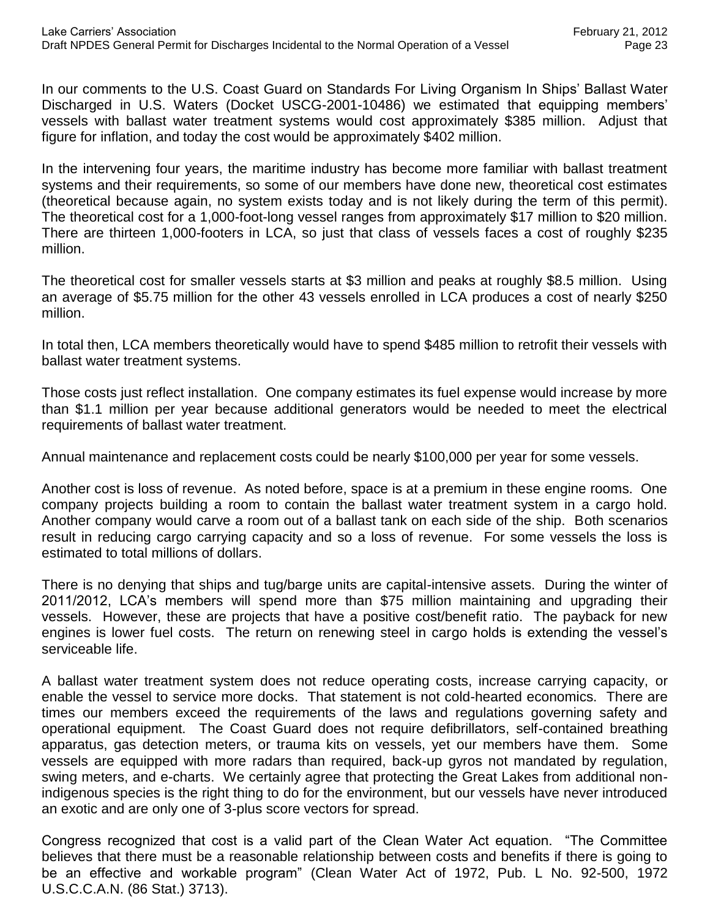In our comments to the U.S. Coast Guard on Standards For Living Organism In Ships' Ballast Water Discharged in U.S. Waters (Docket USCG-2001-10486) we estimated that equipping members' vessels with ballast water treatment systems would cost approximately \$385 million. Adjust that figure for inflation, and today the cost would be approximately \$402 million.

In the intervening four years, the maritime industry has become more familiar with ballast treatment systems and their requirements, so some of our members have done new, theoretical cost estimates (theoretical because again, no system exists today and is not likely during the term of this permit). The theoretical cost for a 1,000-foot-long vessel ranges from approximately \$17 million to \$20 million. There are thirteen 1,000-footers in LCA, so just that class of vessels faces a cost of roughly \$235 million.

The theoretical cost for smaller vessels starts at \$3 million and peaks at roughly \$8.5 million. Using an average of \$5.75 million for the other 43 vessels enrolled in LCA produces a cost of nearly \$250 million.

In total then, LCA members theoretically would have to spend \$485 million to retrofit their vessels with ballast water treatment systems.

Those costs just reflect installation. One company estimates its fuel expense would increase by more than \$1.1 million per year because additional generators would be needed to meet the electrical requirements of ballast water treatment.

Annual maintenance and replacement costs could be nearly \$100,000 per year for some vessels.

Another cost is loss of revenue. As noted before, space is at a premium in these engine rooms. One company projects building a room to contain the ballast water treatment system in a cargo hold. Another company would carve a room out of a ballast tank on each side of the ship. Both scenarios result in reducing cargo carrying capacity and so a loss of revenue. For some vessels the loss is estimated to total millions of dollars.

There is no denying that ships and tug/barge units are capital-intensive assets. During the winter of 2011/2012, LCA's members will spend more than \$75 million maintaining and upgrading their vessels. However, these are projects that have a positive cost/benefit ratio. The payback for new engines is lower fuel costs. The return on renewing steel in cargo holds is extending the vessel's serviceable life.

A ballast water treatment system does not reduce operating costs, increase carrying capacity, or enable the vessel to service more docks. That statement is not cold-hearted economics. There are times our members exceed the requirements of the laws and regulations governing safety and operational equipment. The Coast Guard does not require defibrillators, self-contained breathing apparatus, gas detection meters, or trauma kits on vessels, yet our members have them. Some vessels are equipped with more radars than required, back-up gyros not mandated by regulation, swing meters, and e-charts. We certainly agree that protecting the Great Lakes from additional nonindigenous species is the right thing to do for the environment, but our vessels have never introduced an exotic and are only one of 3-plus score vectors for spread.

Congress recognized that cost is a valid part of the Clean Water Act equation. "The Committee believes that there must be a reasonable relationship between costs and benefits if there is going to be an effective and workable program" (Clean Water Act of 1972, Pub. L No. 92-500, 1972 U.S.C.C.A.N. (86 Stat.) 3713).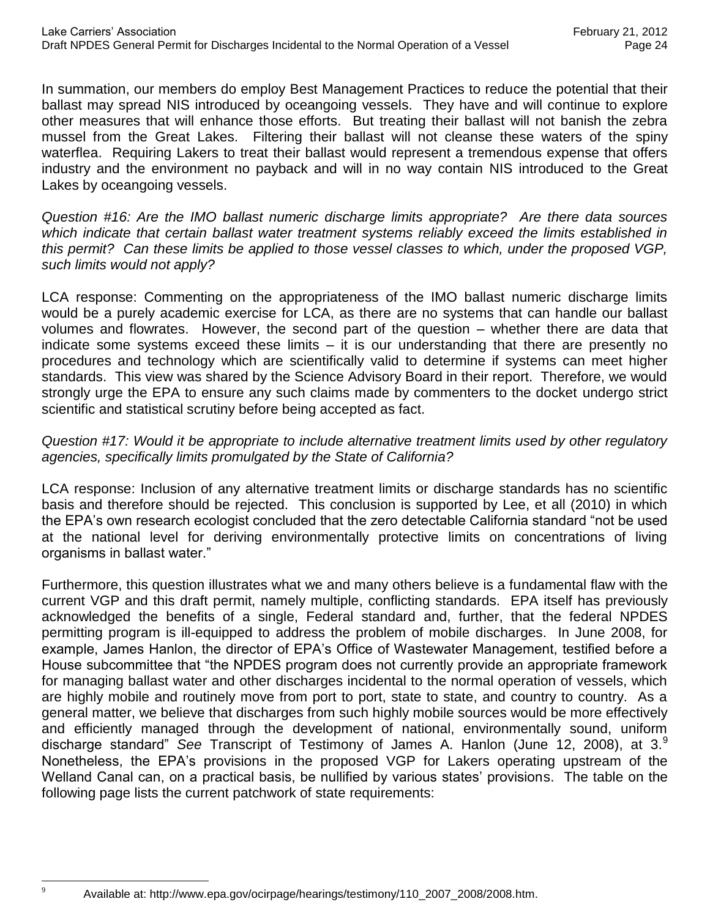In summation, our members do employ Best Management Practices to reduce the potential that their ballast may spread NIS introduced by oceangoing vessels. They have and will continue to explore other measures that will enhance those efforts. But treating their ballast will not banish the zebra mussel from the Great Lakes. Filtering their ballast will not cleanse these waters of the spiny waterflea. Requiring Lakers to treat their ballast would represent a tremendous expense that offers industry and the environment no payback and will in no way contain NIS introduced to the Great Lakes by oceangoing vessels.

*Question #16: Are the IMO ballast numeric discharge limits appropriate? Are there data sources which indicate that certain ballast water treatment systems reliably exceed the limits established in this permit? Can these limits be applied to those vessel classes to which, under the proposed VGP, such limits would not apply?*

LCA response: Commenting on the appropriateness of the IMO ballast numeric discharge limits would be a purely academic exercise for LCA, as there are no systems that can handle our ballast volumes and flowrates. However, the second part of the question – whether there are data that indicate some systems exceed these limits – it is our understanding that there are presently no procedures and technology which are scientifically valid to determine if systems can meet higher standards. This view was shared by the Science Advisory Board in their report. Therefore, we would strongly urge the EPA to ensure any such claims made by commenters to the docket undergo strict scientific and statistical scrutiny before being accepted as fact.

#### *Question #17: Would it be appropriate to include alternative treatment limits used by other regulatory agencies, specifically limits promulgated by the State of California?*

LCA response: Inclusion of any alternative treatment limits or discharge standards has no scientific basis and therefore should be rejected. This conclusion is supported by Lee, et all (2010) in which the EPA's own research ecologist concluded that the zero detectable California standard "not be used at the national level for deriving environmentally protective limits on concentrations of living organisms in ballast water."

Furthermore, this question illustrates what we and many others believe is a fundamental flaw with the current VGP and this draft permit, namely multiple, conflicting standards. EPA itself has previously acknowledged the benefits of a single, Federal standard and, further, that the federal NPDES permitting program is ill-equipped to address the problem of mobile discharges. In June 2008, for example, James Hanlon, the director of EPA's Office of Wastewater Management, testified before a House subcommittee that "the NPDES program does not currently provide an appropriate framework for managing ballast water and other discharges incidental to the normal operation of vessels, which are highly mobile and routinely move from port to port, state to state, and country to country. As a general matter, we believe that discharges from such highly mobile sources would be more effectively and efficiently managed through the development of national, environmentally sound, uniform discharge standard" *See* Transcript of Testimony of James A. Hanlon (June 12, 2008), at 3.<sup>9</sup> Nonetheless, the EPA's provisions in the proposed VGP for Lakers operating upstream of the Welland Canal can, on a practical basis, be nullified by various states' provisions. The table on the following page lists the current patchwork of state requirements:

 $\overline{Q}$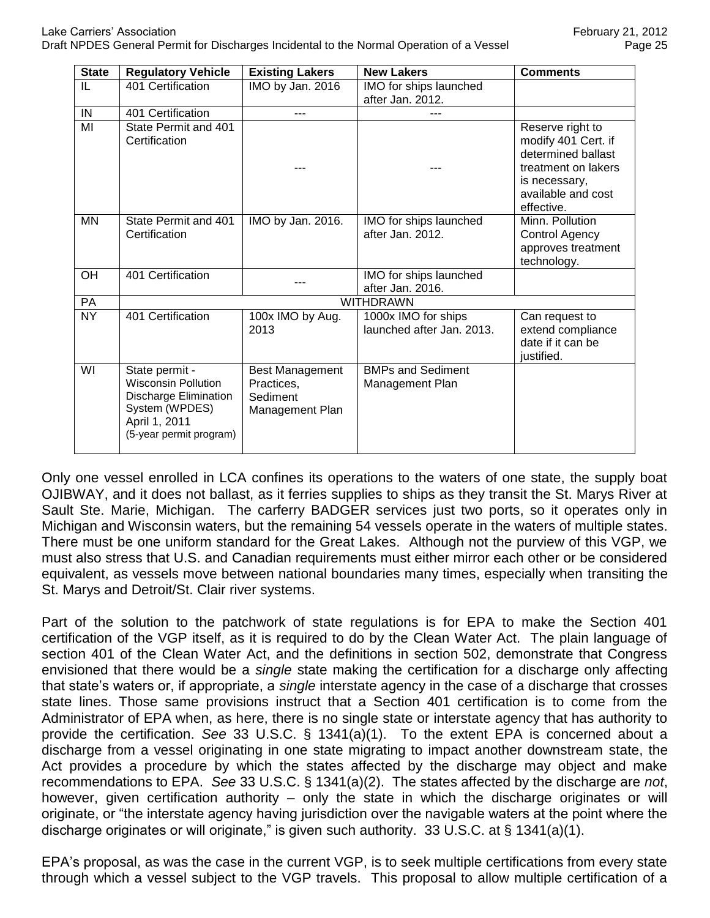| <b>State</b> | <b>Regulatory Vehicle</b>                                                                                                                  | <b>Existing Lakers</b>                                              | <b>New Lakers</b>                                | <b>Comments</b>                                                                                                                           |  |  |
|--------------|--------------------------------------------------------------------------------------------------------------------------------------------|---------------------------------------------------------------------|--------------------------------------------------|-------------------------------------------------------------------------------------------------------------------------------------------|--|--|
| IL           | 401 Certification                                                                                                                          | IMO by Jan. 2016                                                    | IMO for ships launched<br>after Jan. 2012.       |                                                                                                                                           |  |  |
| IN           | 401 Certification                                                                                                                          |                                                                     |                                                  |                                                                                                                                           |  |  |
| MI           | State Permit and 401<br>Certification                                                                                                      |                                                                     |                                                  | Reserve right to<br>modify 401 Cert. if<br>determined ballast<br>treatment on lakers<br>is necessary,<br>available and cost<br>effective. |  |  |
| <b>MN</b>    | State Permit and 401<br>Certification                                                                                                      | IMO by Jan. 2016.                                                   | IMO for ships launched<br>after Jan. 2012.       | Minn. Pollution<br>Control Agency<br>approves treatment<br>technology.                                                                    |  |  |
| OH           | 401 Certification                                                                                                                          |                                                                     | IMO for ships launched<br>after Jan. 2016.       |                                                                                                                                           |  |  |
| PA           | WITHDRAWN                                                                                                                                  |                                                                     |                                                  |                                                                                                                                           |  |  |
| <b>NY</b>    | 401 Certification                                                                                                                          | 100x IMO by Aug.<br>2013                                            | 1000x IMO for ships<br>launched after Jan. 2013. | Can request to<br>extend compliance<br>date if it can be<br>justified.                                                                    |  |  |
| WI           | State permit -<br><b>Wisconsin Pollution</b><br><b>Discharge Elimination</b><br>System (WPDES)<br>April 1, 2011<br>(5-year permit program) | <b>Best Management</b><br>Practices,<br>Sediment<br>Management Plan | <b>BMPs and Sediment</b><br>Management Plan      |                                                                                                                                           |  |  |

Only one vessel enrolled in LCA confines its operations to the waters of one state, the supply boat OJIBWAY, and it does not ballast, as it ferries supplies to ships as they transit the St. Marys River at Sault Ste. Marie, Michigan. The carferry BADGER services just two ports, so it operates only in Michigan and Wisconsin waters, but the remaining 54 vessels operate in the waters of multiple states. There must be one uniform standard for the Great Lakes. Although not the purview of this VGP, we must also stress that U.S. and Canadian requirements must either mirror each other or be considered equivalent, as vessels move between national boundaries many times, especially when transiting the St. Marys and Detroit/St. Clair river systems.

Part of the solution to the patchwork of state regulations is for EPA to make the Section 401 certification of the VGP itself, as it is required to do by the Clean Water Act. The plain language of section 401 of the Clean Water Act, and the definitions in section 502, demonstrate that Congress envisioned that there would be a *single* state making the certification for a discharge only affecting that state's waters or, if appropriate, a *single* interstate agency in the case of a discharge that crosses state lines. Those same provisions instruct that a Section 401 certification is to come from the Administrator of EPA when, as here, there is no single state or interstate agency that has authority to provide the certification. *See* 33 U.S.C. § 1341(a)(1).To the extent EPA is concerned about a discharge from a vessel originating in one state migrating to impact another downstream state, the Act provides a procedure by which the states affected by the discharge may object and make recommendations to EPA. *See* 33 U.S.C. § 1341(a)(2). The states affected by the discharge are *not*, however, given certification authority – only the state in which the discharge originates or will originate, or "the interstate agency having jurisdiction over the navigable waters at the point where the discharge originates or will originate," is given such authority. 33 U.S.C. at § 1341(a)(1).

EPA's proposal, as was the case in the current VGP, is to seek multiple certifications from every state through which a vessel subject to the VGP travels. This proposal to allow multiple certification of a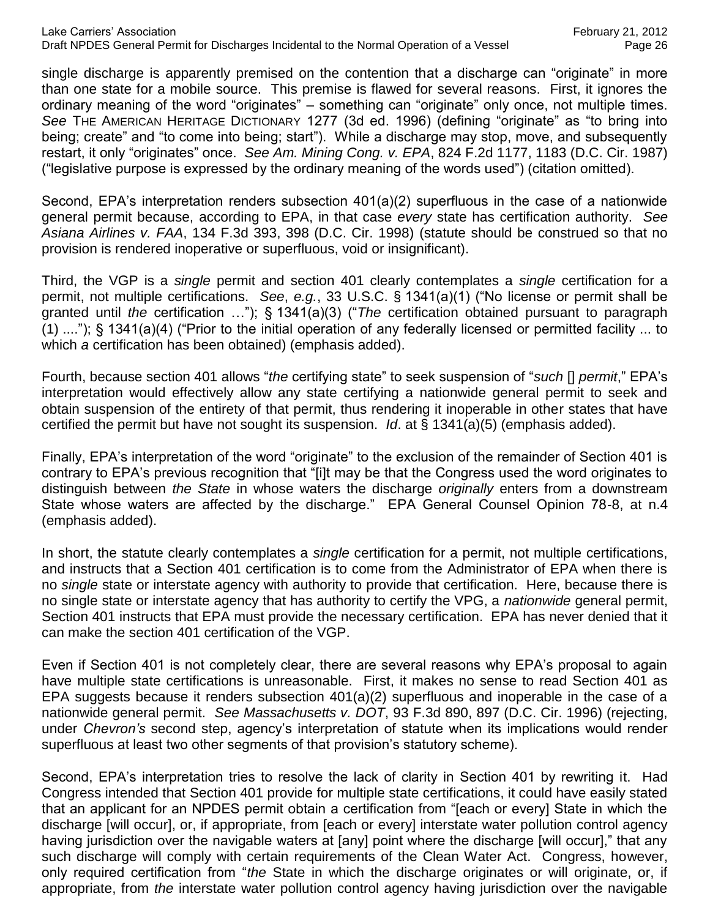single discharge is apparently premised on the contention that a discharge can "originate" in more than one state for a mobile source. This premise is flawed for several reasons. First, it ignores the ordinary meaning of the word "originates" – something can "originate" only once, not multiple times. *See* THE AMERICAN HERITAGE DICTIONARY 1277 (3d ed. 1996) (defining "originate" as "to bring into being; create" and "to come into being; start"). While a discharge may stop, move, and subsequently restart, it only "originates" once. *See Am. Mining Cong. v. EPA*, 824 F.2d 1177, 1183 (D.C. Cir. 1987) ("legislative purpose is expressed by the ordinary meaning of the words used") (citation omitted).

Second, EPA's interpretation renders subsection 401(a)(2) superfluous in the case of a nationwide general permit because, according to EPA, in that case *every* state has certification authority. *See Asiana Airlines v. FAA*, 134 F.3d 393, 398 (D.C. Cir. 1998) (statute should be construed so that no provision is rendered inoperative or superfluous, void or insignificant).

Third, the VGP is a *single* permit and section 401 clearly contemplates a *single* certification for a permit, not multiple certifications. *See*, *e.g.*, 33 U.S.C. § 1341(a)(1) ("No license or permit shall be granted until *the* certification …"); § 1341(a)(3) ("*The* certification obtained pursuant to paragraph (1) ...."); § 1341(a)(4) ("Prior to the initial operation of any federally licensed or permitted facility ... to which *a* certification has been obtained) (emphasis added).

Fourth, because section 401 allows "*the* certifying state" to seek suspension of "*such* [] *permit*," EPA's interpretation would effectively allow any state certifying a nationwide general permit to seek and obtain suspension of the entirety of that permit, thus rendering it inoperable in other states that have certified the permit but have not sought its suspension. *Id*. at § 1341(a)(5) (emphasis added).

Finally, EPA's interpretation of the word "originate" to the exclusion of the remainder of Section 401 is contrary to EPA's previous recognition that "[i]t may be that the Congress used the word originates to distinguish between *the State* in whose waters the discharge *originally* enters from a downstream State whose waters are affected by the discharge." EPA General Counsel Opinion 78-8, at n.4 (emphasis added).

In short, the statute clearly contemplates a *single* certification for a permit, not multiple certifications, and instructs that a Section 401 certification is to come from the Administrator of EPA when there is no *single* state or interstate agency with authority to provide that certification. Here, because there is no single state or interstate agency that has authority to certify the VPG, a *nationwide* general permit, Section 401 instructs that EPA must provide the necessary certification. EPA has never denied that it can make the section 401 certification of the VGP.

Even if Section 401 is not completely clear, there are several reasons why EPA's proposal to again have multiple state certifications is unreasonable. First, it makes no sense to read Section 401 as EPA suggests because it renders subsection 401(a)(2) superfluous and inoperable in the case of a nationwide general permit. *See Massachusetts v. DOT*, 93 F.3d 890, 897 (D.C. Cir. 1996) (rejecting, under *Chevron's* second step, agency's interpretation of statute when its implications would render superfluous at least two other segments of that provision's statutory scheme).

Second, EPA's interpretation tries to resolve the lack of clarity in Section 401 by rewriting it. Had Congress intended that Section 401 provide for multiple state certifications, it could have easily stated that an applicant for an NPDES permit obtain a certification from "[each or every] State in which the discharge [will occur], or, if appropriate, from [each or every] interstate water pollution control agency having jurisdiction over the navigable waters at [any] point where the discharge [will occur]," that any such discharge will comply with certain requirements of the Clean Water Act. Congress, however, only required certification from "*the* State in which the discharge originates or will originate, or, if appropriate, from *the* interstate water pollution control agency having jurisdiction over the navigable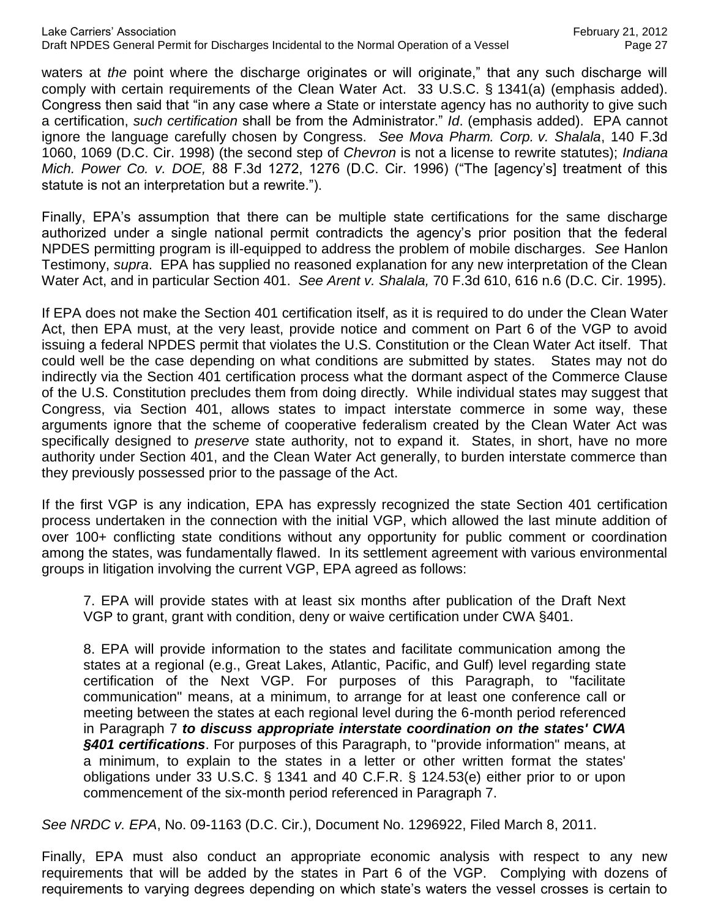waters at *the* point where the discharge originates or will originate," that any such discharge will comply with certain requirements of the Clean Water Act. 33 U.S.C. § 1341(a) (emphasis added). Congress then said that "in any case where *a* State or interstate agency has no authority to give such a certification, *such certification* shall be from the Administrator." *Id*. (emphasis added). EPA cannot ignore the language carefully chosen by Congress. *See Mova Pharm. Corp. v. Shalala*, 140 F.3d 1060, 1069 (D.C. Cir. 1998) (the second step of *Chevron* is not a license to rewrite statutes); *Indiana Mich. Power Co. v. DOE,* 88 F.3d 1272, 1276 (D.C. Cir. 1996) ("The [agency's] treatment of this statute is not an interpretation but a rewrite.").

Finally, EPA's assumption that there can be multiple state certifications for the same discharge authorized under a single national permit contradicts the agency's prior position that the federal NPDES permitting program is ill-equipped to address the problem of mobile discharges. *See* Hanlon Testimony, *supra*. EPA has supplied no reasoned explanation for any new interpretation of the Clean Water Act, and in particular Section 401. *See Arent v. Shalala,* 70 F.3d 610, 616 n.6 (D.C. Cir. 1995).

If EPA does not make the Section 401 certification itself, as it is required to do under the Clean Water Act, then EPA must, at the very least, provide notice and comment on Part 6 of the VGP to avoid issuing a federal NPDES permit that violates the U.S. Constitution or the Clean Water Act itself. That could well be the case depending on what conditions are submitted by states. States may not do indirectly via the Section 401 certification process what the dormant aspect of the Commerce Clause of the U.S. Constitution precludes them from doing directly. While individual states may suggest that Congress, via Section 401, allows states to impact interstate commerce in some way, these arguments ignore that the scheme of cooperative federalism created by the Clean Water Act was specifically designed to *preserve* state authority, not to expand it. States, in short, have no more authority under Section 401, and the Clean Water Act generally, to burden interstate commerce than they previously possessed prior to the passage of the Act.

If the first VGP is any indication, EPA has expressly recognized the state Section 401 certification process undertaken in the connection with the initial VGP, which allowed the last minute addition of over 100+ conflicting state conditions without any opportunity for public comment or coordination among the states, was fundamentally flawed. In its settlement agreement with various environmental groups in litigation involving the current VGP, EPA agreed as follows:

7. EPA will provide states with at least six months after publication of the Draft Next VGP to grant, grant with condition, deny or waive certification under CWA §401.

8. EPA will provide information to the states and facilitate communication among the states at a regional (e.g., Great Lakes, Atlantic, Pacific, and Gulf) level regarding state certification of the Next VGP. For purposes of this Paragraph, to "facilitate communication" means, at a minimum, to arrange for at least one conference call or meeting between the states at each regional level during the 6-month period referenced in Paragraph 7 *to discuss appropriate interstate coordination on the states' CWA §401 certifications*. For purposes of this Paragraph, to "provide information" means, at a minimum, to explain to the states in a letter or other written format the states' obligations under 33 U.S.C. § 1341 and 40 C.F.R. § 124.53(e) either prior to or upon commencement of the six-month period referenced in Paragraph 7.

*See NRDC v. EPA*, No. 09-1163 (D.C. Cir.), Document No. 1296922, Filed March 8, 2011.

Finally, EPA must also conduct an appropriate economic analysis with respect to any new requirements that will be added by the states in Part 6 of the VGP. Complying with dozens of requirements to varying degrees depending on which state's waters the vessel crosses is certain to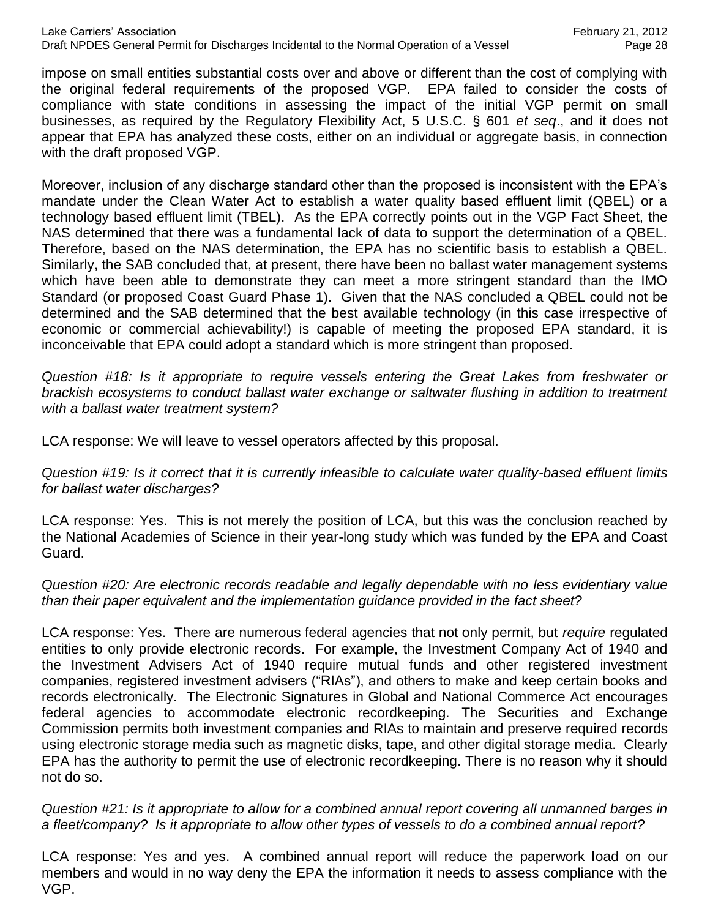impose on small entities substantial costs over and above or different than the cost of complying with the original federal requirements of the proposed VGP. EPA failed to consider the costs of compliance with state conditions in assessing the impact of the initial VGP permit on small businesses, as required by the Regulatory Flexibility Act, 5 U.S.C. § 601 *et seq*., and it does not appear that EPA has analyzed these costs, either on an individual or aggregate basis, in connection with the draft proposed VGP.

Moreover, inclusion of any discharge standard other than the proposed is inconsistent with the EPA's mandate under the Clean Water Act to establish a water quality based effluent limit (QBEL) or a technology based effluent limit (TBEL). As the EPA correctly points out in the VGP Fact Sheet, the NAS determined that there was a fundamental lack of data to support the determination of a QBEL. Therefore, based on the NAS determination, the EPA has no scientific basis to establish a QBEL. Similarly, the SAB concluded that, at present, there have been no ballast water management systems which have been able to demonstrate they can meet a more stringent standard than the IMO Standard (or proposed Coast Guard Phase 1). Given that the NAS concluded a QBEL could not be determined and the SAB determined that the best available technology (in this case irrespective of economic or commercial achievability!) is capable of meeting the proposed EPA standard, it is inconceivable that EPA could adopt a standard which is more stringent than proposed.

*Question #18: Is it appropriate to require vessels entering the Great Lakes from freshwater or brackish ecosystems to conduct ballast water exchange or saltwater flushing in addition to treatment with a ballast water treatment system?*

LCA response: We will leave to vessel operators affected by this proposal.

*Question #19: Is it correct that it is currently infeasible to calculate water quality-based effluent limits for ballast water discharges?*

LCA response: Yes. This is not merely the position of LCA, but this was the conclusion reached by the National Academies of Science in their year-long study which was funded by the EPA and Coast Guard.

*Question #20: Are electronic records readable and legally dependable with no less evidentiary value than their paper equivalent and the implementation guidance provided in the fact sheet?*

LCA response: Yes. There are numerous federal agencies that not only permit, but *require* regulated entities to only provide electronic records. For example, the Investment Company Act of 1940 and the Investment Advisers Act of 1940 require mutual funds and other registered investment companies, registered investment advisers ("RIAs"), and others to make and keep certain books and records electronically. The Electronic Signatures in Global and National Commerce Act encourages federal agencies to accommodate electronic recordkeeping. The Securities and Exchange Commission permits both investment companies and RIAs to maintain and preserve required records using electronic storage media such as magnetic disks, tape, and other digital storage media. Clearly EPA has the authority to permit the use of electronic recordkeeping. There is no reason why it should not do so.

*Question #21: Is it appropriate to allow for a combined annual report covering all unmanned barges in a fleet/company? Is it appropriate to allow other types of vessels to do a combined annual report?*

LCA response: Yes and yes. A combined annual report will reduce the paperwork load on our members and would in no way deny the EPA the information it needs to assess compliance with the VGP.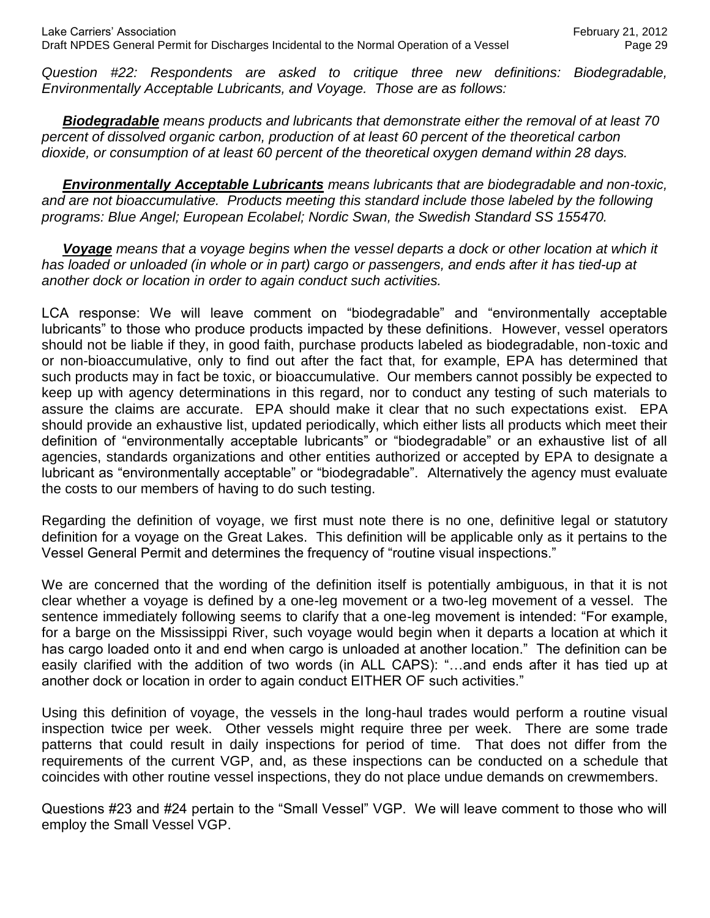*Question #22: Respondents are asked to critique three new definitions: Biodegradable, Environmentally Acceptable Lubricants, and Voyage. Those are as follows:*

*Biodegradable means products and lubricants that demonstrate either the removal of at least 70 percent of dissolved organic carbon, production of at least 60 percent of the theoretical carbon dioxide, or consumption of at least 60 percent of the theoretical oxygen demand within 28 days.*

*Environmentally Acceptable Lubricants means lubricants that are biodegradable and non-toxic,*  and are not bioaccumulative. Products meeting this standard include those labeled by the following *programs: Blue Angel; European Ecolabel; Nordic Swan, the Swedish Standard SS 155470.*

*Voyage means that a voyage begins when the vessel departs a dock or other location at which it*  has loaded or unloaded (in whole or in part) cargo or passengers, and ends after it has tied-up at *another dock or location in order to again conduct such activities.* 

LCA response: We will leave comment on "biodegradable" and "environmentally acceptable lubricants" to those who produce products impacted by these definitions. However, vessel operators should not be liable if they, in good faith, purchase products labeled as biodegradable, non-toxic and or non-bioaccumulative, only to find out after the fact that, for example, EPA has determined that such products may in fact be toxic, or bioaccumulative. Our members cannot possibly be expected to keep up with agency determinations in this regard, nor to conduct any testing of such materials to assure the claims are accurate. EPA should make it clear that no such expectations exist. EPA should provide an exhaustive list, updated periodically, which either lists all products which meet their definition of "environmentally acceptable lubricants" or "biodegradable" or an exhaustive list of all agencies, standards organizations and other entities authorized or accepted by EPA to designate a lubricant as "environmentally acceptable" or "biodegradable". Alternatively the agency must evaluate the costs to our members of having to do such testing.

Regarding the definition of voyage, we first must note there is no one, definitive legal or statutory definition for a voyage on the Great Lakes. This definition will be applicable only as it pertains to the Vessel General Permit and determines the frequency of "routine visual inspections."

We are concerned that the wording of the definition itself is potentially ambiguous, in that it is not clear whether a voyage is defined by a one-leg movement or a two-leg movement of a vessel. The sentence immediately following seems to clarify that a one-leg movement is intended: "For example, for a barge on the Mississippi River, such voyage would begin when it departs a location at which it has cargo loaded onto it and end when cargo is unloaded at another location." The definition can be easily clarified with the addition of two words (in ALL CAPS): "…and ends after it has tied up at another dock or location in order to again conduct EITHER OF such activities."

Using this definition of voyage, the vessels in the long-haul trades would perform a routine visual inspection twice per week. Other vessels might require three per week. There are some trade patterns that could result in daily inspections for period of time. That does not differ from the requirements of the current VGP, and, as these inspections can be conducted on a schedule that coincides with other routine vessel inspections, they do not place undue demands on crewmembers.

Questions #23 and #24 pertain to the "Small Vessel" VGP. We will leave comment to those who will employ the Small Vessel VGP.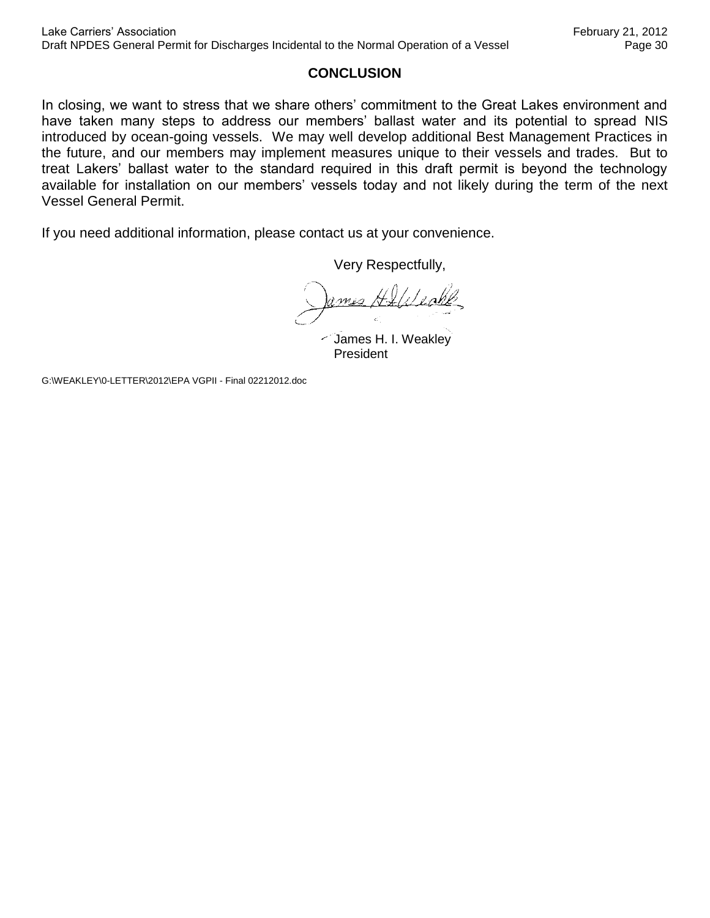#### **CONCLUSION**

In closing, we want to stress that we share others' commitment to the Great Lakes environment and have taken many steps to address our members' ballast water and its potential to spread NIS introduced by ocean-going vessels. We may well develop additional Best Management Practices in the future, and our members may implement measures unique to their vessels and trades. But to treat Lakers' ballast water to the standard required in this draft permit is beyond the technology available for installation on our members' vessels today and not likely during the term of the next Vessel General Permit.

If you need additional information, please contact us at your convenience.

Very Respectfully,

James H. I. Weakley President

G:\WEAKLEY\0-LETTER\2012\EPA VGPII - Final 02212012.doc